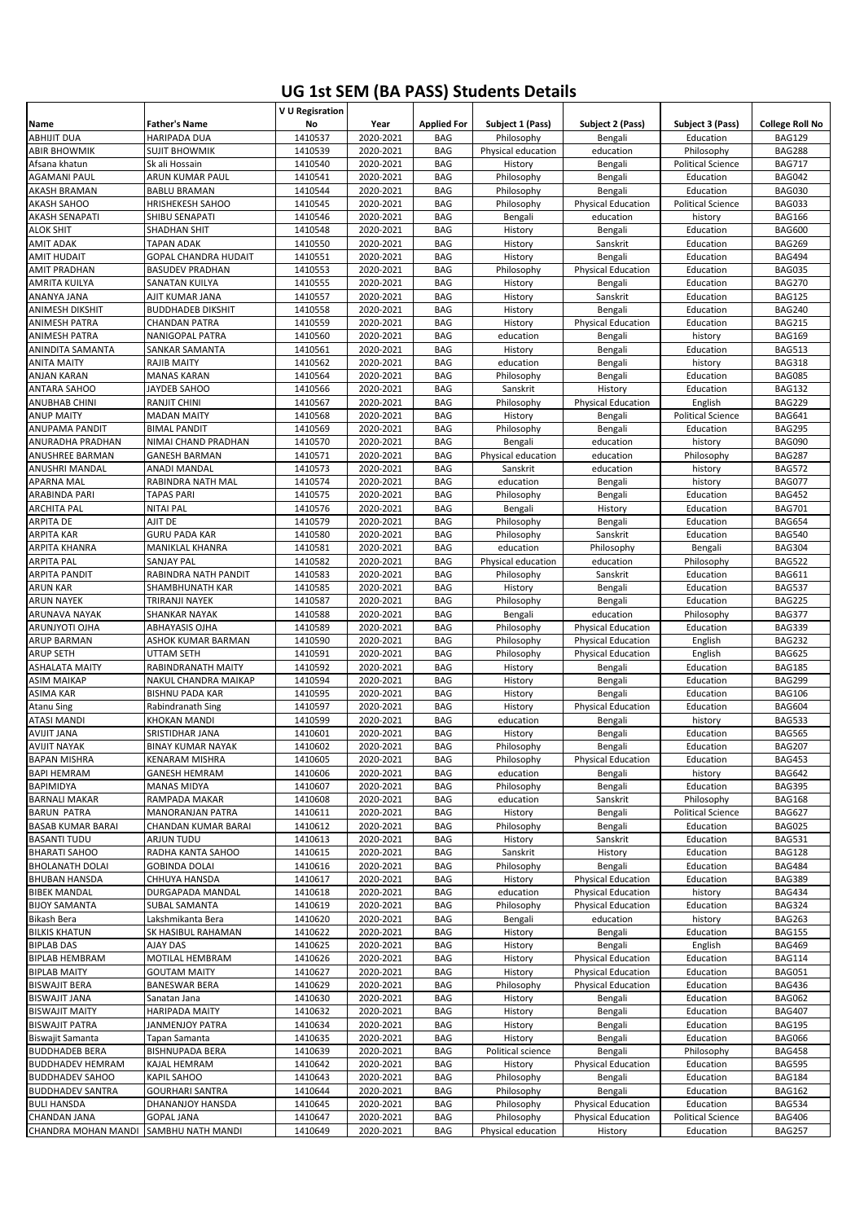## **UG 1st SEM (BA PASS) Students Details**

|                                                |                                             | V U Regisration    |                        |                          |                               |                                                        |                                       |                                |
|------------------------------------------------|---------------------------------------------|--------------------|------------------------|--------------------------|-------------------------------|--------------------------------------------------------|---------------------------------------|--------------------------------|
| Name                                           | <b>Father's Name</b>                        | No                 | Year                   | <b>Applied For</b>       | Subject 1 (Pass)              | Subject 2 (Pass)                                       | Subject 3 (Pass)                      | <b>College Roll No</b>         |
| <b>ABHIJIT DUA</b>                             | HARIPADA DUA                                | 1410537            | 2020-2021              | <b>BAG</b>               | Philosophy                    | Bengali                                                | Education                             | <b>BAG129</b>                  |
| <b>ABIR BHOWMIK</b>                            | <b>SUJIT BHOWMIK</b>                        | 1410539            | 2020-2021              | BAG                      | Physical education            | education                                              | Philosophy                            | <b>BAG288</b>                  |
| Afsana khatun<br><b>AGAMANI PAUL</b>           | Sk ali Hossain<br>ARUN KUMAR PAUL           | 1410540<br>1410541 | 2020-2021<br>2020-2021 | BAG<br>BAG               | History<br>Philosophy         | Bengali<br>Bengali                                     | <b>Political Science</b><br>Education | <b>BAG717</b><br><b>BAG042</b> |
| AKASH BRAMAN                                   | <b>BABLU BRAMAN</b>                         | 1410544            | 2020-2021              | BAG                      | Philosophy                    | Bengali                                                | Education                             | <b>BAG030</b>                  |
| AKASH SAHOO                                    | <b>HRISHEKESH SAHOO</b>                     | 1410545            | 2020-2021              | BAG                      | Philosophy                    | <b>Physical Education</b>                              | <b>Political Science</b>              | <b>BAG033</b>                  |
| AKASH SENAPATI                                 | SHIBU SENAPATI                              | 1410546            | 2020-2021              | BAG                      | Bengali                       | education                                              | history                               | <b>BAG166</b>                  |
| <b>ALOK SHIT</b>                               | <b>SHADHAN SHIT</b>                         | 1410548            | 2020-2021              | <b>BAG</b>               | History                       | Bengali                                                | Education                             | <b>BAG600</b>                  |
| <b>AMIT ADAK</b>                               | TAPAN ADAK                                  | 1410550            | 2020-2021              | BAG                      | History                       | Sanskrit                                               | Education                             | <b>BAG269</b>                  |
| <b>AMIT HUDAIT</b>                             | <b>GOPAL CHANDRA HUDAIT</b>                 | 1410551            | 2020-2021              | <b>BAG</b>               | History                       | Bengali                                                | Education                             | <b>BAG494</b>                  |
| <b>AMIT PRADHAN</b>                            | <b>BASUDEV PRADHAN</b>                      | 1410553            | 2020-2021              | BAG                      | Philosophy                    | <b>Physical Education</b>                              | Education                             | <b>BAG035</b>                  |
| AMRITA KUILYA                                  | <b>SANATAN KUILYA</b>                       | 1410555            | 2020-2021              | <b>BAG</b>               | History                       | Bengali                                                | Education                             | <b>BAG270</b>                  |
| ANANYA JANA                                    | AJIT KUMAR JANA                             | 1410557            | 2020-2021              | <b>BAG</b><br><b>BAG</b> | History                       | Sanskrit                                               | Education                             | <b>BAG125</b><br><b>BAG240</b> |
| <b>ANIMESH DIKSHIT</b><br><b>ANIMESH PATRA</b> | <b>BUDDHADEB DIKSHIT</b><br>CHANDAN PATRA   | 1410558<br>1410559 | 2020-2021<br>2020-2021 | <b>BAG</b>               | History<br>History            | Bengali<br><b>Physical Education</b>                   | Education<br>Education                | <b>BAG215</b>                  |
| <b>ANIMESH PATRA</b>                           | <b>NANIGOPAL PATRA</b>                      | 1410560            | 2020-2021              | <b>BAG</b>               | education                     | Bengali                                                | history                               | <b>BAG169</b>                  |
| ANINDITA SAMANTA                               | SANKAR SAMANTA                              | 1410561            | 2020-2021              | <b>BAG</b>               | History                       | Bengali                                                | Education                             | <b>BAG513</b>                  |
| ANITA MAITY                                    | <b>RAJIB MAITY</b>                          | 1410562            | 2020-2021              | <b>BAG</b>               | education                     | Bengali                                                | history                               | <b>BAG318</b>                  |
| <b>ANJAN KARAN</b>                             | <b>MANAS KARAN</b>                          | 1410564            | 2020-2021              | <b>BAG</b>               | Philosophy                    | Bengali                                                | Education                             | <b>BAG085</b>                  |
| <b>ANTARA SAHOO</b>                            | JAYDEB SAHOO                                | 1410566            | 2020-2021              | <b>BAG</b>               | Sanskrit                      | History                                                | Education                             | <b>BAG132</b>                  |
| <b>ANUBHAB CHINI</b>                           | <b>RANJIT CHINI</b>                         | 1410567            | 2020-2021              | <b>BAG</b>               | Philosophy                    | <b>Physical Education</b>                              | English                               | <b>BAG229</b>                  |
| <b>ANUP MAITY</b>                              | <b>MADAN MAITY</b>                          | 1410568            | 2020-2021              | <b>BAG</b>               | History                       | Bengali                                                | <b>Political Science</b>              | <b>BAG641</b>                  |
| ANUPAMA PANDIT                                 | <b>BIMAL PANDIT</b>                         | 1410569            | 2020-2021              | <b>BAG</b>               | Philosophy                    | Bengali                                                | Education                             | <b>BAG295</b>                  |
| ANURADHA PRADHAN<br>ANUSHREE BARMAN            | NIMAI CHAND PRADHAN<br><b>GANESH BARMAN</b> | 1410570<br>1410571 | 2020-2021<br>2020-2021 | <b>BAG</b><br>BAG        | Bengali<br>Physical education | education<br>education                                 | history<br>Philosophy                 | <b>BAG090</b><br><b>BAG287</b> |
| ANUSHRI MANDAL                                 | ANADI MANDAL                                | 1410573            | 2020-2021              | <b>BAG</b>               | Sanskrit                      | education                                              | history                               | <b>BAG572</b>                  |
| <b>APARNA MAL</b>                              | RABINDRA NATH MAL                           | 1410574            | 2020-2021              | <b>BAG</b>               | education                     | Bengali                                                | history                               | <b>BAG077</b>                  |
| ARABINDA PARI                                  | <b>TAPAS PARI</b>                           | 1410575            | 2020-2021              | BAG                      | Philosophy                    | Bengali                                                | Education                             | <b>BAG452</b>                  |
| <b>ARCHITA PAL</b>                             | <b>NITAI PAL</b>                            | 1410576            | 2020-2021              | BAG                      | Bengali                       | History                                                | Education                             | <b>BAG701</b>                  |
| ARPITA DE                                      | AJIT DE                                     | 1410579            | 2020-2021              | BAG                      | Philosophy                    | Bengali                                                | Education                             | <b>BAG654</b>                  |
| <b>ARPITA KAR</b>                              | <b>GURU PADA KAR</b>                        | 1410580            | 2020-2021              | <b>BAG</b>               | Philosophy                    | Sanskrit                                               | Education                             | <b>BAG540</b>                  |
| ARPITA KHANRA                                  | MANIKLAL KHANRA                             | 1410581            | 2020-2021              | BAG                      | education                     | Philosophy                                             | Bengali                               | <b>BAG304</b>                  |
| <b>ARPITA PAL</b>                              | <b>SANJAY PAL</b>                           | 1410582            | 2020-2021              | <b>BAG</b>               | Physical education            | education                                              | Philosophy                            | <b>BAG522</b>                  |
| <b>ARPITA PANDIT</b><br><b>ARUN KAR</b>        | RABINDRA NATH PANDIT<br>SHAMBHUNATH KAR     | 1410583<br>1410585 | 2020-2021              | BAG<br><b>BAG</b>        | Philosophy<br>History         | Sanskrit                                               | Education                             | <b>BAG611</b><br><b>BAG537</b> |
| <b>ARUN NAYEK</b>                              | TRIRANJI NAYEK                              | 1410587            | 2020-2021<br>2020-2021 | BAG                      | Philosophy                    | Bengali<br>Bengali                                     | Education<br>Education                | <b>BAG225</b>                  |
| ARUNAVA NAYAK                                  | SHANKAR NAYAK                               | 1410588            | 2020-2021              | <b>BAG</b>               | Bengali                       | education                                              | Philosophy                            | <b>BAG377</b>                  |
|                                                |                                             |                    |                        |                          |                               |                                                        |                                       |                                |
| ARUNJYOTI OJHA                                 | ABHAYASIS OJHA                              | 1410589            | 2020-2021              | BAG                      | Philosophy                    | <b>Physical Education</b>                              | Education                             | <b>BAG339</b>                  |
| <b>ARUP BARMAN</b>                             | ASHOK KUMAR BARMAN                          | 1410590            | 2020-2021              | <b>BAG</b>               | Philosophy                    | <b>Physical Education</b>                              | English                               | <b>BAG232</b>                  |
| <b>ARUP SETH</b>                               | UTTAM SETH                                  | 1410591            | 2020-2021              | BAG                      | Philosophy                    | <b>Physical Education</b>                              | English                               | <b>BAG625</b>                  |
| <b>ASHALATA MAITY</b>                          | RABINDRANATH MAITY                          | 1410592            | 2020-2021              | <b>BAG</b>               | History                       | Bengali                                                | Education                             | <b>BAG185</b>                  |
| <b>ASIM MAIKAP</b>                             | NAKUL CHANDRA MAIKAP                        | 1410594            | 2020-2021              | BAG                      | History                       | Bengali                                                | Education                             | <b>BAG299</b>                  |
| <b>ASIMA KAR</b>                               | <b>BISHNU PADA KAR</b>                      | 1410595            | 2020-2021              | <b>BAG</b>               | History                       | Bengali                                                | Education                             | <b>BAG106</b>                  |
| <b>Atanu Sing</b>                              | Rabindranath Sing                           | 1410597            | 2020-2021              | BAG                      | History                       | Physical Education                                     | Education                             | <b>BAG604</b>                  |
| <b>ATASI MANDI</b>                             | <b>KHOKAN MANDI</b>                         | 1410599            | 2020-2021              | <b>BAG</b>               | education                     | Bengali                                                | history                               | <b>BAG533</b>                  |
| <b>AVIJIT JANA</b><br><b>AVIJIT NAYAK</b>      | SRISTIDHAR JANA<br><b>BINAY KUMAR NAYAK</b> | 1410601            | 2020-2021              | <b>BAG</b><br><b>BAG</b> | History                       | Bengali                                                | Education                             | <b>BAG565</b>                  |
| <b>BAPAN MISHRA</b>                            | KENARAM MISHRA                              | 1410602<br>1410605 | 2020-2021<br>2020-2021 | BAG                      | Philosophy<br>Philosophy      | Bengali<br><b>Physical Education</b>                   | Education<br>Education                | <b>BAG207</b><br><b>BAG453</b> |
| <b>BAPI HEMRAM</b>                             | <b>GANESH HEMRAM</b>                        | 1410606            | 2020-2021              | BAG                      | education                     | Bengali                                                | history                               | <b>BAG642</b>                  |
| BAPIMIDYA                                      | <b>MANAS MIDYA</b>                          | 1410607            | 2020-2021              | BAG                      | Philosophy                    | Bengali                                                | Education                             | <b>BAG395</b>                  |
| <b>BARNALI MAKAR</b>                           | RAMPADA MAKAR                               | 1410608            | 2020-2021              | BAG                      | education                     | Sanskrit                                               | Philosophy                            | <b>BAG168</b>                  |
| <b>BARUN PATRA</b>                             | <b>MANORANJAN PATRA</b>                     | 1410611            | 2020-2021              | BAG                      | History                       | Bengali                                                | <b>Political Science</b>              | <b>BAG627</b>                  |
| <b>BASAB KUMAR BARAI</b>                       | CHANDAN KUMAR BARAI                         | 1410612            | 2020-2021              | BAG                      | Philosophy                    | Bengali                                                | Education                             | <b>BAG025</b>                  |
| <b>BASANTI TUDU</b>                            | ARJUN TUDU                                  | 1410613            | 2020-2021              | BAG                      | History                       | Sanskrit                                               | Education                             | <b>BAG531</b>                  |
| <b>BHARATI SAHOO</b>                           | RADHA KANTA SAHOO                           | 1410615            | 2020-2021              | BAG                      | Sanskrit                      | History                                                | Education                             | <b>BAG128</b>                  |
| <b>BHOLANATH DOLAI</b><br><b>BHUBAN HANSDA</b> | <b>GOBINDA DOLAI</b><br>CHHUYA HANSDA       | 1410616<br>1410617 | 2020-2021<br>2020-2021 | BAG<br>BAG               | Philosophy<br>History         | Bengali<br><b>Physical Education</b>                   | Education<br>Education                | <b>BAG484</b><br><b>BAG389</b> |
| <b>BIBEK MANDAL</b>                            | DURGAPADA MANDAL                            | 1410618            | 2020-2021              | BAG                      | education                     | <b>Physical Education</b>                              | history                               | <b>BAG434</b>                  |
| <b>BIJOY SAMANTA</b>                           | SUBAL SAMANTA                               | 1410619            | 2020-2021              | BAG                      | Philosophy                    | <b>Physical Education</b>                              | Education                             | <b>BAG324</b>                  |
| <b>Bikash Bera</b>                             | Lakshmikanta Bera                           | 1410620            | 2020-2021              | <b>BAG</b>               | Bengali                       | education                                              | history                               | <b>BAG263</b>                  |
| <b>BILKIS KHATUN</b>                           | SK HASIBUL RAHAMAN                          | 1410622            | 2020-2021              | BAG                      | History                       | Bengali                                                | Education                             | <b>BAG155</b>                  |
| <b>BIPLAB DAS</b>                              | <b>AJAY DAS</b>                             | 1410625            | 2020-2021              | BAG                      | History                       | Bengali                                                | English                               | <b>BAG469</b>                  |
| <b>BIPLAB HEMBRAM</b>                          | MOTILAL HEMBRAM                             | 1410626            | 2020-2021              | BAG                      | History                       | <b>Physical Education</b>                              | Education                             | <b>BAG114</b>                  |
| <b>BIPLAB MAITY</b>                            | <b>GOUTAM MAITY</b>                         | 1410627            | 2020-2021              | BAG                      | History                       | <b>Physical Education</b>                              | Education                             | <b>BAG051</b>                  |
| <b>BISWAJIT BERA</b><br><b>BISWAJIT JANA</b>   | <b>BANESWAR BERA</b><br>Sanatan Jana        | 1410629<br>1410630 | 2020-2021<br>2020-2021 | BAG<br>BAG               | Philosophy<br>History         | <b>Physical Education</b><br>Bengali                   | Education<br>Education                | BAG436<br><b>BAG062</b>        |
| <b>BISWAJIT MAITY</b>                          | <b>HARIPADA MAITY</b>                       | 1410632            | 2020-2021              | BAG                      | History                       | Bengali                                                | Education                             | <b>BAG407</b>                  |
| <b>BISWAJIT PATRA</b>                          | JANMENJOY PATRA                             | 1410634            | 2020-2021              | BAG                      | History                       | Bengali                                                | Education                             | <b>BAG195</b>                  |
| Biswajit Samanta                               | Tapan Samanta                               | 1410635            | 2020-2021              | BAG                      | History                       | Bengali                                                | Education                             | BAG066                         |
| <b>BUDDHADEB BERA</b>                          | <b>BISHNUPADA BERA</b>                      | 1410639            | 2020-2021              | <b>BAG</b>               | Political science             | Bengali                                                | Philosophy                            | <b>BAG458</b>                  |
| <b>BUDDHADEV HEMRAM</b>                        | KAJAL HEMRAM                                | 1410642            | 2020-2021              | BAG                      | History                       | <b>Physical Education</b>                              | Education                             | <b>BAG595</b>                  |
| <b>BUDDHADEV SAHOO</b>                         | KAPIL SAHOO                                 | 1410643            | 2020-2021              | BAG                      | Philosophy                    | Bengali                                                | Education                             | <b>BAG184</b>                  |
| <b>BUDDHADEV SANTRA</b>                        | <b>GOURHARI SANTRA</b>                      | 1410644            | 2020-2021              | BAG                      | Philosophy                    | Bengali                                                | Education                             | <b>BAG162</b>                  |
| <b>BULI HANSDA</b><br>CHANDAN JANA             | DHANANJOY HANSDA<br><b>GOPAL JANA</b>       | 1410645<br>1410647 | 2020-2021<br>2020-2021 | BAG<br>BAG               | Philosophy<br>Philosophy      | <b>Physical Education</b><br><b>Physical Education</b> | Education<br><b>Political Science</b> | BAG534<br><b>BAG406</b>        |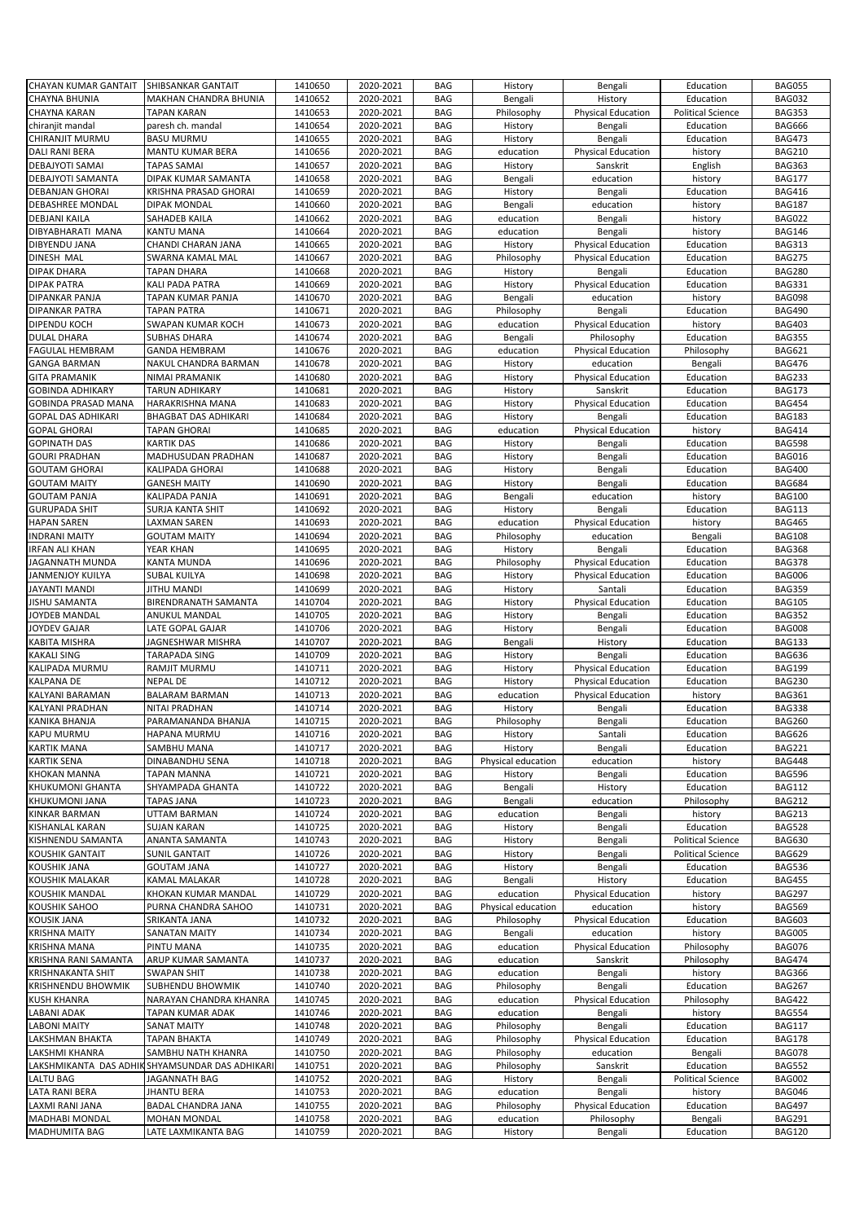|                                               |                                                 | 1410650            |                        |                          |                      |                           |                          |                                |
|-----------------------------------------------|-------------------------------------------------|--------------------|------------------------|--------------------------|----------------------|---------------------------|--------------------------|--------------------------------|
| <b>CHAYAN KUMAR GANTAIT</b>                   | SHIBSANKAR GANTAIT                              |                    | 2020-2021              | <b>BAG</b>               | History              | Bengali                   | Education                | <b>BAG055</b>                  |
| <b>CHAYNA BHUNIA</b>                          | <b>MAKHAN CHANDRA BHUNIA</b>                    | 1410652            | 2020-2021              | <b>BAG</b>               | Bengali              | History                   | Education                | <b>BAG032</b>                  |
| CHAYNA KARAN                                  | <b>TAPAN KARAN</b>                              | 1410653            | 2020-2021              | <b>BAG</b>               | Philosophy           | <b>Physical Education</b> | <b>Political Science</b> | <b>BAG353</b>                  |
|                                               |                                                 | 1410654            |                        | <b>BAG</b>               |                      |                           | Education                | <b>BAG666</b>                  |
| chiranjit mandal                              | paresh ch. mandal                               |                    | 2020-2021              |                          | History              | Bengali                   |                          |                                |
| CHIRANJIT MURMU                               | <b>BASU MURMU</b>                               | 1410655            | 2020-2021              | <b>BAG</b>               | History              | Bengali                   | Education                | <b>BAG473</b>                  |
| <b>DALI RANI BERA</b>                         | <b>MANTU KUMAR BERA</b>                         | 1410656            | 2020-2021              | <b>BAG</b>               | education            | <b>Physical Education</b> | history                  | <b>BAG210</b>                  |
| <b>DEBAJYOTI SAMAI</b>                        | <b>TAPAS SAMAI</b>                              | 1410657            | 2020-2021              | <b>BAG</b>               | History              | Sanskrit                  | English                  | <b>BAG363</b>                  |
|                                               |                                                 |                    |                        |                          |                      |                           |                          |                                |
| DEBAJYOTI SAMANTA                             | DIPAK KUMAR SAMANTA                             | 1410658            | 2020-2021              | <b>BAG</b>               | Bengali              | education                 | history                  | <b>BAG177</b>                  |
| <b>DEBANJAN GHORAI</b>                        | KRISHNA PRASAD GHORAI                           | 1410659            | 2020-2021              | <b>BAG</b>               | History              | Bengali                   | Education                | <b>BAG416</b>                  |
| <b>DEBASHREE MONDAL</b>                       | <b>DIPAK MONDAL</b>                             | 1410660            | 2020-2021              | <b>BAG</b>               | Bengali              | education                 | history                  | <b>BAG187</b>                  |
|                                               |                                                 |                    |                        |                          |                      |                           |                          |                                |
| <b>DEBJANI KAILA</b>                          | SAHADEB KAILA                                   | 1410662            | 2020-2021              | <b>BAG</b>               | education            | Bengali                   | history                  | <b>BAG022</b>                  |
| DIBYABHARATI MANA                             | KANTU MANA                                      | 1410664            | 2020-2021              | <b>BAG</b>               | education            | Bengali                   | history                  | <b>BAG146</b>                  |
| DIBYENDU JANA                                 | CHANDI CHARAN JANA                              | 1410665            | 2020-2021              | <b>BAG</b>               | History              | <b>Physical Education</b> | Education                | <b>BAG313</b>                  |
| DINESH MAL                                    | SWARNA KAMAL MAL                                | 1410667            | 2020-2021              | <b>BAG</b>               | Philosophy           | <b>Physical Education</b> | Education                | <b>BAG275</b>                  |
|                                               |                                                 |                    |                        |                          |                      |                           |                          |                                |
| <b>DIPAK DHARA</b>                            | <b>TAPAN DHARA</b>                              | 1410668            | 2020-2021              | <b>BAG</b>               | History              | Bengali                   | Education                | <b>BAG280</b>                  |
| <b>DIPAK PATRA</b>                            | KALI PADA PATRA                                 | 1410669            | 2020-2021              | <b>BAG</b>               | History              | <b>Physical Education</b> | Education                | <b>BAG331</b>                  |
| DIPANKAR PANJA                                | TAPAN KUMAR PANJA                               | 1410670            | 2020-2021              | <b>BAG</b>               | Bengali              | education                 | history                  | <b>BAG098</b>                  |
| DIPANKAR PATRA                                | TAPAN PATRA                                     | 1410671            | 2020-2021              | BAG                      | Philosophy           | Bengali                   | Education                | <b>BAG490</b>                  |
|                                               |                                                 |                    |                        |                          |                      |                           |                          |                                |
| <b>DIPENDU KOCH</b>                           | <b>SWAPAN KUMAR KOCH</b>                        | 1410673            | 2020-2021              | <b>BAG</b>               | education            | <b>Physical Education</b> | history                  | <b>BAG403</b>                  |
| <b>DULAL DHARA</b>                            | SUBHAS DHARA                                    | 1410674            | 2020-2021              | <b>BAG</b>               | Bengali              | Philosophy                | Education                | <b>BAG355</b>                  |
| <b>FAGULAL HEMBRAM</b>                        | <b>GANDA HEMBRAM</b>                            | 1410676            | 2020-2021              | <b>BAG</b>               | education            | <b>Physical Education</b> | Philosophy               | <b>BAG621</b>                  |
|                                               |                                                 |                    |                        |                          |                      | education                 |                          |                                |
| <b>GANGA BARMAN</b>                           | NAKUL CHANDRA BARMAN                            | 1410678            | 2020-2021              | <b>BAG</b>               | History              |                           | Bengali                  | <b>BAG476</b>                  |
| <b>GITA PRAMANIK</b>                          | NIMAI PRAMANIK                                  | 1410680            | 2020-2021              | <b>BAG</b>               | History              | <b>Physical Education</b> | Education                | <b>BAG233</b>                  |
| <b>GOBINDA ADHIKARY</b>                       | <b>TARUN ADHIKARY</b>                           | 1410681            | 2020-2021              | <b>BAG</b>               | History              | Sanskrit                  | Education                | <b>BAG173</b>                  |
| <b>GOBINDA PRASAD MANA</b>                    | HARAKRISHNA MANA                                | 1410683            | 2020-2021              | <b>BAG</b>               | History              | <b>Physical Education</b> | Education                | <b>BAG454</b>                  |
|                                               |                                                 |                    |                        |                          |                      |                           |                          |                                |
| <b>GOPAL DAS ADHIKARI</b>                     | <b>BHAGBAT DAS ADHIKARI</b>                     | 1410684            | 2020-2021              | <b>BAG</b>               | History              | Bengali                   | Education                | <b>BAG183</b>                  |
| <b>GOPAL GHORAI</b>                           | <b>TAPAN GHORAI</b>                             | 1410685            | 2020-2021              | <b>BAG</b>               | education            | <b>Physical Education</b> | history                  | <b>BAG414</b>                  |
| <b>GOPINATH DAS</b>                           | <b>KARTIK DAS</b>                               | 1410686            | 2020-2021              | <b>BAG</b>               | History              | Bengali                   | Education                | <b>BAG598</b>                  |
| <b>GOURI PRADHAN</b>                          | MADHUSUDAN PRADHAN                              | 1410687            | 2020-2021              | <b>BAG</b>               | History              |                           | Education                | <b>BAG016</b>                  |
|                                               |                                                 |                    |                        |                          |                      | Bengali                   |                          |                                |
| <b>GOUTAM GHORAI</b>                          | <b>KALIPADA GHORAI</b>                          | 1410688            | 2020-2021              | <b>BAG</b>               | History              | Bengali                   | Education                | <b>BAG400</b>                  |
| <b>GOUTAM MAITY</b>                           | <b>GANESH MAITY</b>                             | 1410690            | 2020-2021              | <b>BAG</b>               | History              | Bengali                   | Education                | <b>BAG684</b>                  |
| <b>GOUTAM PANJA</b>                           | KALIPADA PANJA                                  | 1410691            | 2020-2021              | <b>BAG</b>               | Bengali              | education                 | history                  | <b>BAG100</b>                  |
|                                               |                                                 |                    |                        |                          |                      |                           |                          |                                |
| <b>GURUPADA SHIT</b>                          | SURJA KANTA SHIT                                | 1410692            | 2020-2021              | <b>BAG</b>               | History              | Bengali                   | Education                | <b>BAG113</b>                  |
| <b>HAPAN SAREN</b>                            | <b>LAXMAN SAREN</b>                             | 1410693            | 2020-2021              | <b>BAG</b>               | education            | <b>Physical Education</b> | history                  | <b>BAG465</b>                  |
| <b>INDRANI MAITY</b>                          | <b>GOUTAM MAITY</b>                             | 1410694            | 2020-2021              | <b>BAG</b>               | Philosophy           | education                 | Bengali                  | <b>BAG108</b>                  |
| <b>IRFAN ALI KHAN</b>                         | YEAR KHAN                                       | 1410695            | 2020-2021              | <b>BAG</b>               | History              | Bengali                   | Education                | <b>BAG368</b>                  |
|                                               |                                                 |                    |                        |                          |                      |                           |                          |                                |
| JAGANNATH MUNDA                               | KANTA MUNDA                                     | 1410696            | 2020-2021              | <b>BAG</b>               | Philosophy           | <b>Physical Education</b> | Education                | <b>BAG378</b>                  |
| JANMENJOY KUILYA                              | <b>SUBAL KUILYA</b>                             | 1410698            | 2020-2021              | <b>BAG</b>               | History              | <b>Physical Education</b> | Education                | <b>BAG006</b>                  |
| JAYANTI MANDI                                 | JITHU MANDI                                     | 1410699            | 2020-2021              | <b>BAG</b>               | History              | Santali                   | Education                | <b>BAG359</b>                  |
| <b>JISHU SAMANTA</b>                          | BIRENDRANATH SAMANTA                            | 1410704            | 2020-2021              | <b>BAG</b>               | History              | <b>Physical Education</b> | Education                | <b>BAG105</b>                  |
|                                               |                                                 |                    |                        |                          |                      |                           |                          |                                |
| JOYDEB MANDAL                                 | ANUKUL MANDAL                                   | 1410705            | 2020-2021              | <b>BAG</b>               | History              | Bengali                   | Education                | <b>BAG352</b>                  |
|                                               | LATE GOPAL GAJAR                                | 1410706            |                        | <b>BAG</b>               |                      | Bengali                   | Education                | <b>BAG008</b>                  |
| JOYDEV GAJAR                                  |                                                 |                    | 2020-2021              |                          | History              |                           |                          |                                |
| KABITA MISHRA                                 | JAGNESHWAR MISHRA                               | 1410707            | 2020-2021              | <b>BAG</b>               | Bengali              | History                   | Education                | <b>BAG133</b>                  |
|                                               |                                                 |                    |                        |                          |                      |                           |                          |                                |
| <b>KAKALI SING</b>                            | <b>TARAPADA SING</b>                            | 1410709            | 2020-2021              | <b>BAG</b>               | History              | Bengali                   | Education                | <b>BAG636</b>                  |
| KALIPADA MURMU                                | RAMJIT MURMU                                    | 1410711            | 2020-2021              | <b>BAG</b>               | History              | <b>Physical Education</b> | Education                | <b>BAG199</b>                  |
| <b>KALPANA DE</b>                             | <b>NEPAL DE</b>                                 | 1410712            | 2020-2021              | <b>BAG</b>               | History              | <b>Physical Education</b> | Education                | <b>BAG230</b>                  |
|                                               |                                                 |                    |                        |                          |                      |                           |                          |                                |
| KALYANI BARAMAN                               | <b>BALARAM BARMAN</b>                           | 1410713            | 2020-2021              | <b>BAG</b>               | education            | <b>Physical Education</b> | history                  | <b>BAG361</b>                  |
| KALYANI PRADHAN                               | NITAI PRADHAN                                   | 1410714            | 2020-2021              | <b>BAG</b>               | History              | Bengali                   | Education                | <b>BAG338</b>                  |
| <b>KANIKA BHANJA</b>                          | PARAMANANDA BHANJA                              | 1410715            | 2020-2021              | <b>BAG</b>               | Philosophy           | Bengali                   | Education                | <b>BAG260</b>                  |
| <b>KAPU MURMU</b>                             | HAPANA MURMU                                    | 1410716            | 2020-2021              | <b>BAG</b>               | History              | Santali                   | Education                | <b>BAG626</b>                  |
| <b>KARTIK MANA</b>                            | SAMBHU MANA                                     | 1410717            | 2020-2021              | <b>BAG</b>               | History              | Bengali                   | Education                | <b>BAG221</b>                  |
| <b>KARTIK SENA</b>                            | DINABANDHU SENA                                 | 1410718            | 2020-2021              | <b>BAG</b>               | Physical education   | education                 | history                  | <b>BAG448</b>                  |
|                                               |                                                 |                    |                        |                          |                      |                           |                          |                                |
| <b>KHOKAN MANNA</b>                           | <b>TAPAN MANNA</b>                              | 1410721            | 2020-2021              | <b>BAG</b>               | History              | Bengali                   | Education                | <b>BAG596</b>                  |
| KHUKUMONI GHANTA                              | SHYAMPADA GHANTA                                | 1410722            | 2020-2021              | <b>BAG</b>               | Bengali              | History                   | Education                | <b>BAG112</b>                  |
| <b>KHUKUMONI JANA</b>                         | <b>TAPAS JANA</b>                               | 1410723            | 2020-2021              | <b>BAG</b>               | Bengali              | education                 | Philosophy               | <b>BAG212</b>                  |
|                                               |                                                 |                    |                        |                          |                      |                           |                          |                                |
| <b>KINKAR BARMAN</b>                          | UTTAM BARMAN                                    | 1410724            | 2020-2021              | <b>BAG</b>               | education            | Bengali                   | history                  | <b>BAG213</b>                  |
| <b>KISHANLAL KARAN</b>                        | SUJAN KARAN                                     | 1410725            | 2020-2021              | <b>BAG</b>               | History              | Bengali                   | Education                | <b>BAG528</b>                  |
| KISHNENDU SAMANTA                             | ANANTA SAMANTA                                  | 1410743            | 2020-2021              | <b>BAG</b>               | History              | Bengali                   | <b>Political Science</b> | <b>BAG630</b>                  |
| <b>KOUSHIK GANTAIT</b>                        | <b>SUNIL GANTAIT</b>                            | 1410726            | 2020-2021              | <b>BAG</b>               | History              | Bengali                   | <b>Political Science</b> | <b>BAG629</b>                  |
|                                               |                                                 |                    |                        |                          |                      |                           | Education                |                                |
| KOUSHIK JANA                                  | <b>GOUTAM JANA</b>                              | 1410727            | 2020-2021              | <b>BAG</b>               | History              | Bengali                   |                          | <b>BAG536</b>                  |
| KOUSHIK MALAKAR                               | KAMAL MALAKAR                                   | 1410728            | 2020-2021              | <b>BAG</b>               | Bengali              | History                   | Education                | <b>BAG455</b>                  |
| KOUSHIK MANDAL                                | KHOKAN KUMAR MANDAL                             | 1410729            | 2020-2021              | <b>BAG</b>               | education            | Physical Education        | history                  | <b>BAG297</b>                  |
| KOUSHIK SAHOO                                 | PURNA CHANDRA SAHOO                             | 1410731            | 2020-2021              | <b>BAG</b>               | Physical education   | education                 | history                  | <b>BAG569</b>                  |
| KOUSIK JANA                                   | SRIKANTA JANA                                   | 1410732            | 2020-2021              | <b>BAG</b>               | Philosophy           | <b>Physical Education</b> | Education                | <b>BAG603</b>                  |
|                                               |                                                 |                    |                        |                          |                      |                           |                          |                                |
| <b>KRISHNA MAITY</b>                          | SANATAN MAITY                                   | 1410734            | 2020-2021              | <b>BAG</b>               | Bengali              | education                 | history                  | <b>BAG005</b>                  |
| <b>KRISHNA MANA</b>                           | PINTU MANA                                      | 1410735            | 2020-2021              | BAG                      | education            | <b>Physical Education</b> | Philosophy               | <b>BAG076</b>                  |
| KRISHNA RANI SAMANTA                          | ARUP KUMAR SAMANTA                              | 1410737            | 2020-2021              | <b>BAG</b>               | education            | Sanskrit                  | Philosophy               | <b>BAG474</b>                  |
| <b>KRISHNAKANTA SHIT</b>                      | <b>SWAPAN SHIT</b>                              | 1410738            | 2020-2021              | BAG                      | education            | Bengali                   | history                  | <b>BAG366</b>                  |
|                                               |                                                 |                    |                        |                          |                      |                           |                          |                                |
| <b>KRISHNENDU BHOWMIK</b>                     | SUBHENDU BHOWMIK                                | 1410740            | 2020-2021              | <b>BAG</b>               | Philosophy           | Bengali                   | Education                | <b>BAG267</b>                  |
| <b>KUSH KHANRA</b>                            | NARAYAN CHANDRA KHANRA                          | 1410745            | 2020-2021              | <b>BAG</b>               | education            | <b>Physical Education</b> | Philosophy               | <b>BAG422</b>                  |
| LABANI ADAK                                   | TAPAN KUMAR ADAK                                | 1410746            | 2020-2021              | <b>BAG</b>               | education            | Bengali                   | history                  | <b>BAG554</b>                  |
| <b>LABONI MAITY</b>                           | <b>SANAT MAITY</b>                              | 1410748            | 2020-2021              | BAG                      | Philosophy           | Bengali                   | Education                | <b>BAG117</b>                  |
|                                               |                                                 |                    |                        |                          |                      |                           |                          |                                |
| LAKSHMAN BHAKTA                               | <b>TAPAN BHAKTA</b>                             | 1410749            | 2020-2021              | <b>BAG</b>               | Philosophy           | <b>Physical Education</b> | Education                | <b>BAG178</b>                  |
| LAKSHMI KHANRA                                | SAMBHU NATH KHANRA                              | 1410750            | 2020-2021              | <b>BAG</b>               | Philosophy           | education                 | Bengali                  | <b>BAG078</b>                  |
|                                               | LAKSHMIKANTA DAS ADHIK SHYAMSUNDAR DAS ADHIKARI | 1410751            | 2020-2021              | <b>BAG</b>               | Philosophy           | Sanskrit                  | Education                | <b>BAG552</b>                  |
| LALTU BAG                                     | JAGANNATH BAG                                   | 1410752            | 2020-2021              | <b>BAG</b>               | History              | Bengali                   | <b>Political Science</b> | <b>BAG002</b>                  |
|                                               |                                                 |                    |                        | <b>BAG</b>               |                      |                           |                          |                                |
| LATA RANI BERA                                | <b>JHANTU BERA</b>                              | 1410753            | 2020-2021              |                          | education            | Bengali                   | history                  | <b>BAG046</b>                  |
| LAXMI RANI JANA                               | BADAL CHANDRA JANA                              | 1410755            | 2020-2021              | <b>BAG</b>               | Philosophy           | Physical Education        | Education                | <b>BAG497</b>                  |
| <b>MADHABI MONDAL</b><br><b>MADHUMITA BAG</b> | <b>MOHAN MONDAL</b><br>LATE LAXMIKANTA BAG      | 1410758<br>1410759 | 2020-2021<br>2020-2021 | <b>BAG</b><br><b>BAG</b> | education<br>History | Philosophy<br>Bengali     | Bengali<br>Education     | <b>BAG291</b><br><b>BAG120</b> |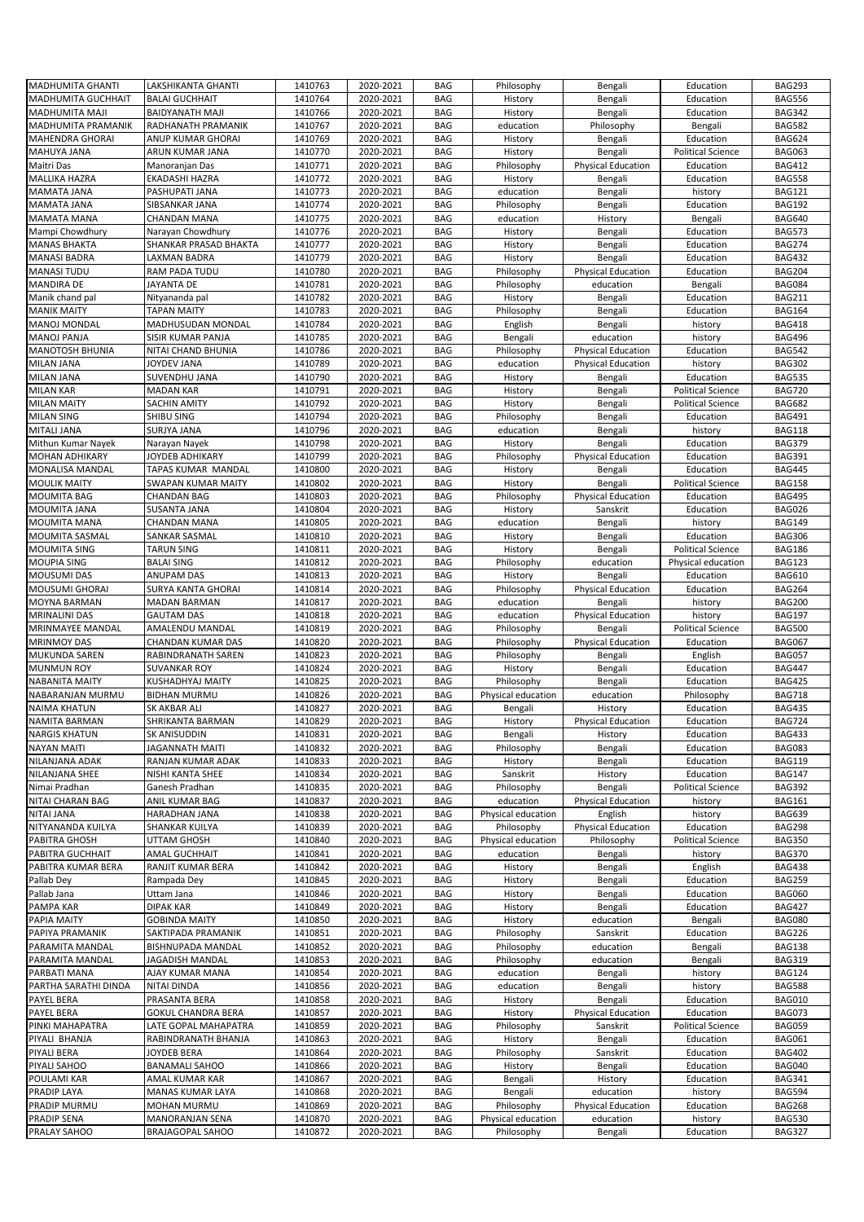| <b>MADHUMITA GHANTI</b>   | LAKSHIKANTA GHANTI        | 1410763 | 2020-2021              | <b>BAG</b> | Philosophy         | Bengali                   | Education                | <b>BAG293</b> |
|---------------------------|---------------------------|---------|------------------------|------------|--------------------|---------------------------|--------------------------|---------------|
| <b>MADHUMITA GUCHHAIT</b> | <b>BALAI GUCHHAIT</b>     | 1410764 | 2020-2021              | <b>BAG</b> | History            | Bengali                   | Education                | <b>BAG556</b> |
| <b>MADHUMITA MAJI</b>     | <b>BAIDYANATH MAJI</b>    | 1410766 | 2020-2021              | <b>BAG</b> | History            | Bengali                   | Education                | <b>BAG342</b> |
|                           |                           |         |                        |            |                    |                           |                          |               |
| MADHUMITA PRAMANIK        | RADHANATH PRAMANIK        | 1410767 | 2020-2021              | <b>BAG</b> | education          | Philosophy                | Bengali                  | <b>BAG582</b> |
| <b>MAHENDRA GHORAI</b>    | ANUP KUMAR GHORAI         | 1410769 | 2020-2021              | <b>BAG</b> | History            | Bengali                   | Education                | <b>BAG624</b> |
| MAHUYA JANA               | ARUN KUMAR JANA           | 1410770 | 2020-2021              | <b>BAG</b> | History            | Bengali                   | <b>Political Science</b> | <b>BAG063</b> |
|                           |                           |         |                        |            |                    |                           |                          |               |
| Maitri Das                | Manoranjan Das            | 1410771 | 2020-2021              | <b>BAG</b> | Philosophy         | <b>Physical Education</b> | Education                | <b>BAG412</b> |
| <b>MALLIKA HAZRA</b>      | <b>EKADASHI HAZRA</b>     | 1410772 | 2020-2021              | <b>BAG</b> | History            | Bengali                   | Education                | <b>BAG558</b> |
| MAMATA JANA               | PASHUPATI JANA            | 1410773 | 2020-2021              | <b>BAG</b> | education          | Bengali                   | history                  | <b>BAG121</b> |
|                           |                           |         |                        |            |                    |                           |                          |               |
| <b>MAMATA JANA</b>        | SIBSANKAR JANA            | 1410774 | 2020-2021              | <b>BAG</b> | Philosophy         | Bengali                   | Education                | <b>BAG192</b> |
| <b>MAMATA MANA</b>        | <b>CHANDAN MANA</b>       | 1410775 | 2020-2021              | <b>BAG</b> | education          | History                   | Bengali                  | <b>BAG640</b> |
| Mampi Chowdhury           | Narayan Chowdhury         | 1410776 | 2020-2021              | <b>BAG</b> | History            | Bengali                   | Education                | <b>BAG573</b> |
|                           |                           |         |                        |            |                    |                           |                          |               |
| <b>MANAS BHAKTA</b>       | SHANKAR PRASAD BHAKTA     | 1410777 | 2020-2021              | <b>BAG</b> | History            | Bengali                   | Education                | <b>BAG274</b> |
| <b>MANASI BADRA</b>       | LAXMAN BADRA              | 1410779 | 2020-2021              | <b>BAG</b> | History            | Bengali                   | Education                | <b>BAG432</b> |
| <b>MANASI TUDU</b>        | RAM PADA TUDU             | 1410780 | 2020-2021              | <b>BAG</b> | Philosophy         | <b>Physical Education</b> | Education                | <b>BAG204</b> |
|                           |                           |         |                        |            |                    |                           |                          |               |
| <b>MANDIRA DE</b>         | JAYANTA DE                | 1410781 | 2020-2021              | <b>BAG</b> | Philosophy         | education                 | Bengali                  | <b>BAG084</b> |
| Manik chand pal           | Nityananda pal            | 1410782 | 2020-2021              | <b>BAG</b> | History            | Bengali                   | Education                | <b>BAG211</b> |
| <b>MANIK MAITY</b>        | TAPAN MAITY               | 1410783 | 2020-2021              | <b>BAG</b> | Philosophy         | Bengali                   | Education                | <b>BAG164</b> |
|                           |                           |         |                        |            |                    |                           |                          |               |
| <b>MANOJ MONDAL</b>       | MADHUSUDAN MONDAL         | 1410784 | 2020-2021              | <b>BAG</b> | English            | Bengali                   | history                  | <b>BAG418</b> |
| <b>MANOJ PANJA</b>        | SISIR KUMAR PANJA         | 1410785 | 2020-2021              | <b>BAG</b> | Bengali            | education                 | history                  | <b>BAG496</b> |
| <b>MANOTOSH BHUNIA</b>    | NITAI CHAND BHUNIA        | 1410786 | 2020-2021              | <b>BAG</b> | Philosophy         | <b>Physical Education</b> | Education                | <b>BAG542</b> |
|                           |                           |         |                        |            |                    |                           |                          |               |
| <b>MILAN JANA</b>         | JOYDEV JANA               | 1410789 | 2020-2021              | <b>BAG</b> | education          | <b>Physical Education</b> | history                  | <b>BAG302</b> |
| <b>MILAN JANA</b>         | SUVENDHU JANA             | 1410790 | 2020-2021              | <b>BAG</b> | History            | Bengali                   | Education                | <b>BAG535</b> |
| <b>MILAN KAR</b>          | <b>MADAN KAR</b>          | 1410791 | 2020-2021              | <b>BAG</b> | History            | Bengali                   | <b>Political Science</b> | <b>BAG720</b> |
|                           |                           | 1410792 |                        | <b>BAG</b> |                    |                           |                          | <b>BAG682</b> |
| <b>MILAN MAITY</b>        | <b>SACHIN AMITY</b>       |         | 2020-2021              |            | History            | Bengali                   | <b>Political Science</b> |               |
| <b>MILAN SING</b>         | SHIBU SING                | 1410794 | 2020-2021              | <b>BAG</b> | Philosophy         | Bengali                   | Education                | <b>BAG491</b> |
| MITALI JANA               | SURJYA JANA               | 1410796 | 2020-2021              | <b>BAG</b> | education          | Bengali                   | history                  | <b>BAG118</b> |
|                           |                           |         |                        |            |                    |                           |                          |               |
| Mithun Kumar Nayek        | Narayan Nayek             | 1410798 | 2020-2021              | <b>BAG</b> | History            | Bengali                   | Education                | <b>BAG379</b> |
| <b>MOHAN ADHIKARY</b>     | JOYDEB ADHIKARY           | 1410799 | 2020-2021              | <b>BAG</b> | Philosophy         | <b>Physical Education</b> | Education                | <b>BAG391</b> |
| <b>MONALISA MANDAL</b>    | TAPAS KUMAR MANDAL        | 1410800 | 2020-2021              | <b>BAG</b> | History            | Bengali                   | Education                | <b>BAG445</b> |
| <b>MOULIK MAITY</b>       | <b>SWAPAN KUMAR MAITY</b> | 1410802 |                        | <b>BAG</b> |                    | Bengali                   |                          | <b>BAG158</b> |
|                           |                           |         | 2020-2021              |            | History            |                           | <b>Political Science</b> |               |
| <b>MOUMITA BAG</b>        | <b>CHANDAN BAG</b>        | 1410803 | 2020-2021              | <b>BAG</b> | Philosophy         | <b>Physical Education</b> | Education                | <b>BAG495</b> |
| MOUMITA JANA              | SUSANTA JANA              | 1410804 | 2020-2021              | <b>BAG</b> | History            | Sanskrit                  | Education                | <b>BAG026</b> |
| <b>MOUMITA MANA</b>       | <b>CHANDAN MANA</b>       | 1410805 | 2020-2021              | <b>BAG</b> | education          |                           |                          | <b>BAG149</b> |
|                           |                           |         |                        |            |                    | Bengali                   | history                  |               |
| MOUMITA SASMAL            | SANKAR SASMAL             | 1410810 | 2020-2021              | <b>BAG</b> | History            | Bengali                   | Education                | <b>BAG306</b> |
| MOUMITA SING              | <b>TARUN SING</b>         | 1410811 | 2020-2021              | <b>BAG</b> | History            | Bengali                   | <b>Political Science</b> | <b>BAG186</b> |
|                           |                           |         |                        |            |                    |                           |                          |               |
| <b>MOUPIA SING</b>        | <b>BALAI SING</b>         | 1410812 | 2020-2021              | <b>BAG</b> | Philosophy         | education                 | Physical education       | <b>BAG123</b> |
| <b>MOUSUMI DAS</b>        | <b>ANUPAM DAS</b>         | 1410813 | 2020-2021              | <b>BAG</b> | History            | Bengali                   | Education                | <b>BAG610</b> |
| MOUSUMI GHORAI            | SURYA KANTA GHORAI        | 1410814 | 2020-2021              | <b>BAG</b> | Philosophy         | <b>Physical Education</b> | Education                | <b>BAG264</b> |
|                           |                           |         |                        |            |                    |                           |                          |               |
| MOYNA BARMAN              | <b>MADAN BARMAN</b>       | 1410817 | 2020-2021              | <b>BAG</b> | education          | Bengali                   | history                  | <b>BAG200</b> |
| <b>MRINALINI DAS</b>      | <b>GAUTAM DAS</b>         | 1410818 | 2020-2021              | <b>BAG</b> | education          | Physical Education        | history                  | <b>BAG197</b> |
|                           |                           |         |                        |            |                    |                           |                          |               |
|                           |                           |         |                        |            |                    |                           |                          |               |
| MRINMAYEE MANDAL          | AMALENDU MANDAL           | 1410819 | 2020-2021              | <b>BAG</b> | Philosophy         | Bengali                   | <b>Political Science</b> | <b>BAG500</b> |
| <b>MRINMOY DAS</b>        | CHANDAN KUMAR DAS         | 1410820 | 2020-2021              | <b>BAG</b> | Philosophy         | <b>Physical Education</b> | Education                | <b>BAG067</b> |
| MUKUNDA SAREN             | RABINDRANATH SAREN        | 1410823 | 2020-2021              | <b>BAG</b> | Philosophy         | Bengali                   | English                  | <b>BAG057</b> |
|                           |                           |         |                        |            |                    |                           |                          |               |
| <b>MUNMUN ROY</b>         | <b>SUVANKAR ROY</b>       | 1410824 | 2020-2021              | <b>BAG</b> | History            | Bengali                   | Education                | <b>BAG447</b> |
| <b>NABANITA MAITY</b>     | KUSHADHYAJ MAITY          | 1410825 | 2020-2021              | <b>BAG</b> | Philosophy         | Bengali                   | Education                | <b>BAG425</b> |
| NABARANJAN MURMU          | <b>BIDHAN MURMU</b>       | 1410826 | 2020-2021              | <b>BAG</b> | Physical education | education                 | Philosophy               | <b>BAG718</b> |
|                           |                           |         |                        |            |                    |                           |                          |               |
| <b>NAIMA KHATUN</b>       | SK AKBAR ALI              | 1410827 | 2020-2021              | <b>BAG</b> | Bengali            | History                   | Education                | <b>BAG435</b> |
| <b>NAMITA BARMAN</b>      | <b>SHRIKANTA BARMAN</b>   | 1410829 | 2020-2021              | <b>BAG</b> | History            | <b>Physical Education</b> | Education                | <b>BAG724</b> |
| <b>NARGIS KHATUN</b>      | SK ANISUDDIN              | 1410831 | 2020-2021              | <b>BAG</b> | Bengali            | History                   | Education                | <b>BAG433</b> |
| <b>NAYAN MAITI</b>        | <b>JAGANNATH MAITI</b>    | 1410832 | 2020-2021              | <b>BAG</b> | Philosophy         | Bengali                   | Education                | <b>BAG083</b> |
|                           |                           |         |                        |            |                    |                           |                          |               |
| NILANJANA ADAK            | RANJAN KUMAR ADAK         | 1410833 | 2020-2021              | <b>BAG</b> | History            | Bengali                   | Education                | <b>BAG119</b> |
| NILANJANA SHEE            | NISHI KANTA SHEE          | 1410834 | 2020-2021              | <b>BAG</b> | Sanskrit           | History                   | Education                | <b>BAG147</b> |
| Nimai Pradhan             | Ganesh Pradhan            | 1410835 | 2020-2021              | <b>BAG</b> | Philosophy         | Bengali                   | <b>Political Science</b> | <b>BAG392</b> |
|                           |                           |         |                        |            |                    |                           |                          |               |
| NITAI CHARAN BAG          | ANIL KUMAR BAG            | 1410837 | 2020-2021              | <b>BAG</b> | education          | <b>Physical Education</b> | history                  | <b>BAG161</b> |
| NITAI JANA                | HARADHAN JANA             | 1410838 | 2020-2021              | <b>BAG</b> | Physical education | English                   | history                  | <b>BAG639</b> |
| NITYANANDA KUILYA         | SHANKAR KUILYA            | 1410839 | 2020-2021              | <b>BAG</b> | Philosophy         | <b>Physical Education</b> | Education                | <b>BAG298</b> |
|                           |                           |         |                        |            |                    |                           |                          |               |
| PABITRA GHOSH             | UTTAM GHOSH               | 1410840 | 2020-2021              | <b>BAG</b> | Physical education | Philosophy                | <b>Political Science</b> | <b>BAG350</b> |
| PABITRA GUCHHAIT          | AMAL GUCHHAIT             | 1410841 | 2020-2021              | BAG        | education          | Bengali                   | history                  | <b>BAG370</b> |
| PABITRA KUMAR BERA        | RANJIT KUMAR BERA         | 1410842 | 2020-2021              | <b>BAG</b> | History            | Bengali                   | English                  | <b>BAG438</b> |
|                           |                           |         |                        |            |                    |                           |                          |               |
| Pallab Dey                | Rampada Dey               | 1410845 | 2020-2021              | BAG        | History            | Bengali                   | Education                | <b>BAG259</b> |
| Pallab Jana               | Uttam Jana                | 1410846 | 2020-2021              | <b>BAG</b> | History            | Bengali                   | Education                | <b>BAG060</b> |
| PAMPA KAR                 | <b>DIPAK KAR</b>          | 1410849 | 2020-2021              | BAG        | History            | Bengali                   | Education                | <b>BAG427</b> |
| PAPIA MAITY               | <b>GOBINDA MAITY</b>      | 1410850 | 2020-2021              | BAG        |                    |                           |                          |               |
|                           |                           |         |                        |            | History            | education                 | Bengali                  | <b>BAG080</b> |
| PAPIYA PRAMANIK           | SAKTIPADA PRAMANIK        | 1410851 | 2020-2021              | BAG        | Philosophy         | Sanskrit                  | Education                | <b>BAG226</b> |
| PARAMITA MANDAL           | BISHNUPADA MANDAL         | 1410852 | 2020-2021              | <b>BAG</b> | Philosophy         | education                 | Bengali                  | <b>BAG138</b> |
| PARAMITA MANDAL           | JAGADISH MANDAL           | 1410853 |                        | <b>BAG</b> | Philosophy         | education                 | Bengali                  | <b>BAG319</b> |
|                           |                           |         | 2020-2021              |            |                    |                           |                          |               |
| PARBATI MANA              | AJAY KUMAR MANA           | 1410854 | 2020-2021              | <b>BAG</b> | education          | Bengali                   | history                  | <b>BAG124</b> |
| PARTHA SARATHI DINDA      | NITAI DINDA               | 1410856 | 2020-2021              | <b>BAG</b> | education          | Bengali                   | history                  | <b>BAG588</b> |
| PAYEL BERA                | PRASANTA BERA             | 1410858 | 2020-2021              | <b>BAG</b> | History            | Bengali                   | Education                | <b>BAG010</b> |
|                           |                           |         |                        |            |                    |                           |                          |               |
| PAYEL BERA                | <b>GOKUL CHANDRA BERA</b> | 1410857 | 2020-2021              | <b>BAG</b> | History            | <b>Physical Education</b> | Education                | <b>BAG073</b> |
| PINKI MAHAPATRA           | LATE GOPAL MAHAPATRA      | 1410859 | 2020-2021              | BAG        | Philosophy         | Sanskrit                  | <b>Political Science</b> | <b>BAG059</b> |
| PIYALI BHANJA             | RABINDRANATH BHANJA       | 1410863 | 2020-2021              | <b>BAG</b> | History            | Bengali                   | Education                | <b>BAG061</b> |
|                           |                           |         |                        |            |                    |                           |                          |               |
| PIYALI BERA               | JOYDEB BERA               | 1410864 | 2020-2021              | <b>BAG</b> | Philosophy         | Sanskrit                  | Education                | <b>BAG402</b> |
| PIYALI SAHOO              | <b>BANAMALI SAHOO</b>     | 1410866 | 2020-2021              | <b>BAG</b> | History            | Bengali                   | Education                | <b>BAG040</b> |
| POULAMI KAR               | AMAL KUMAR KAR            | 1410867 | 2020-2021              | BAG        | Bengali            | History                   | Education                | <b>BAG341</b> |
|                           |                           |         |                        |            |                    |                           |                          |               |
| PRADIP LAYA               | MANAS KUMAR LAYA          | 1410868 | 2020-2021              | <b>BAG</b> | Bengali            | education                 | history                  | <b>BAG594</b> |
| PRADIP MURMU              | MOHAN MURMU               | 1410869 | 2020-2021              | <b>BAG</b> | Philosophy         | <b>Physical Education</b> | Education                | <b>BAG268</b> |
| <b>PRADIP SENA</b>        | MANORANJAN SENA           | 1410870 |                        | <b>BAG</b> | Physical education | education                 | history                  | <b>BAG530</b> |
| PRALAY SAHOO              | BRAJAGOPAL SAHOO          | 1410872 | 2020-2021<br>2020-2021 | BAG        | Philosophy         | Bengali                   | Education                | <b>BAG327</b> |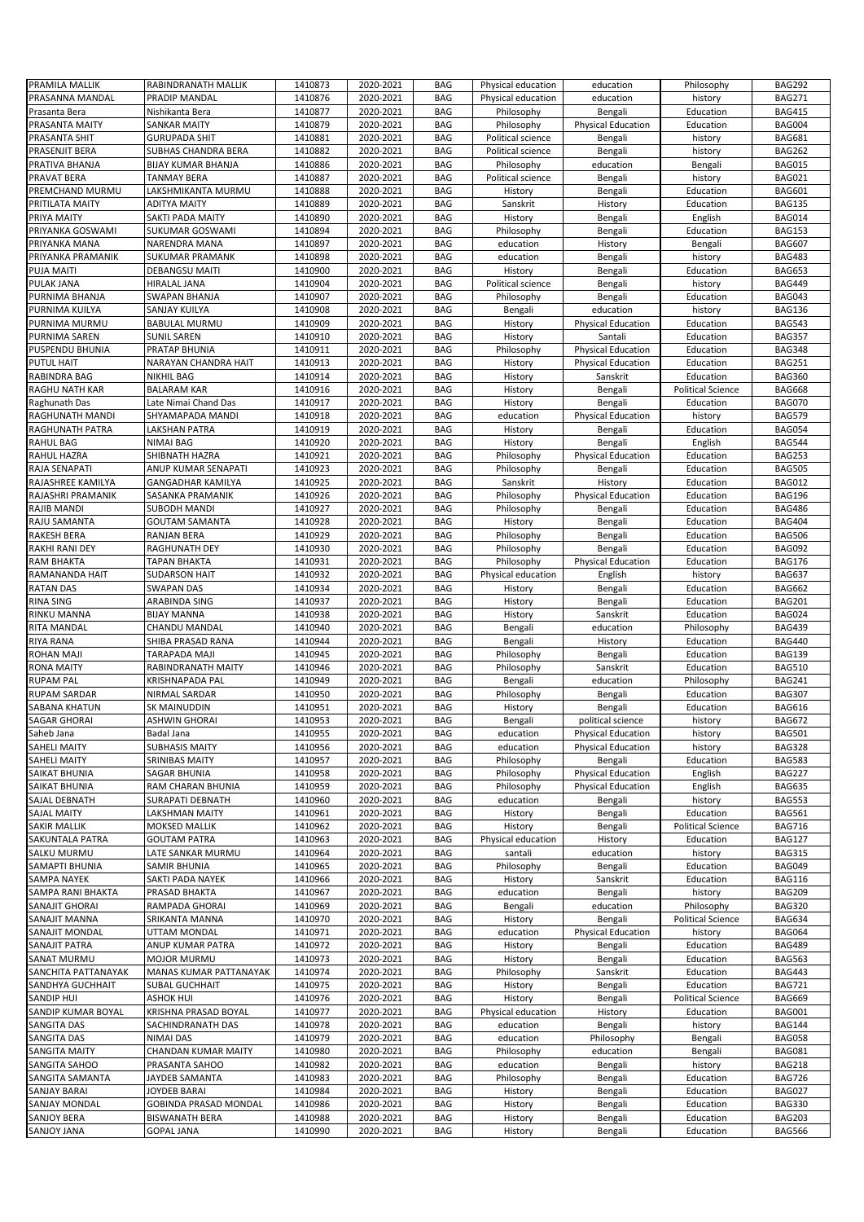| PRAMILA MALLIK                    | RABINDRANATH MALLIK                        | 1410873            | 2020-2021              | <b>BAG</b>               | Physical education | education                 | Philosophy               | <b>BAG292</b>                  |
|-----------------------------------|--------------------------------------------|--------------------|------------------------|--------------------------|--------------------|---------------------------|--------------------------|--------------------------------|
| PRASANNA MANDAL                   | PRADIP MANDAL                              | 1410876            | 2020-2021              | <b>BAG</b>               | Physical education | education                 | history                  | <b>BAG271</b>                  |
|                                   |                                            |                    |                        |                          |                    |                           |                          |                                |
| Prasanta Bera                     | Nishikanta Bera                            | 1410877            | 2020-2021              | <b>BAG</b>               | Philosophy         | Bengali                   | Education                | <b>BAG415</b>                  |
| PRASANTA MAITY                    | <b>SANKAR MAITY</b>                        | 1410879            | 2020-2021              | <b>BAG</b>               | Philosophy         | <b>Physical Education</b> | Education                | <b>BAG004</b>                  |
| PRASANTA SHIT                     | <b>GURUPADA SHIT</b>                       | 1410881            | 2020-2021              | <b>BAG</b>               | Political science  | Bengali                   | history                  | <b>BAG681</b>                  |
| PRASENJIT BERA                    | <b>SUBHAS CHANDRA BERA</b>                 | 1410882            | 2020-2021              | <b>BAG</b>               | Political science  | Bengali                   | history                  | <b>BAG262</b>                  |
| PRATIVA BHANJA                    | <b>BIJAY KUMAR BHANJA</b>                  | 1410886            | 2020-2021              | <b>BAG</b>               | Philosophy         | education                 | Bengali                  | <b>BAG015</b>                  |
| PRAVAT BERA                       | <b>TANMAY BERA</b>                         | 1410887            | 2020-2021              | <b>BAG</b>               | Political science  | Bengali                   | history                  | <b>BAG021</b>                  |
| PREMCHAND MURMU                   | LAKSHMIKANTA MURMU                         | 1410888            | 2020-2021              | <b>BAG</b>               | History            | Bengali                   | Education                | <b>BAG601</b>                  |
|                                   |                                            |                    |                        |                          |                    |                           |                          |                                |
| PRITILATA MAITY                   | <b>ADITYA MAITY</b>                        | 1410889            | 2020-2021              | <b>BAG</b>               | Sanskrit           | History                   | Education                | <b>BAG135</b>                  |
| PRIYA MAITY                       | SAKTI PADA MAITY                           | 1410890            | 2020-2021              | <b>BAG</b>               | History            | Bengali                   | English                  | <b>BAG014</b>                  |
| PRIYANKA GOSWAMI                  | SUKUMAR GOSWAMI                            | 1410894            | 2020-2021              | <b>BAG</b>               | Philosophy         | Bengali                   | Education                | <b>BAG153</b>                  |
| PRIYANKA MANA                     | <b>NARENDRA MANA</b>                       | 1410897            | 2020-2021              | <b>BAG</b>               | education          | History                   | Bengali                  | <b>BAG607</b>                  |
| PRIYANKA PRAMANIK                 | <b>SUKUMAR PRAMANK</b>                     | 1410898            | 2020-2021              | <b>BAG</b>               | education          | Bengali                   | history                  | <b>BAG483</b>                  |
| <b>PUJA MAITI</b>                 | <b>DEBANGSU MAITI</b>                      | 1410900            | 2020-2021              | <b>BAG</b>               | History            | Bengali                   | Education                | <b>BAG653</b>                  |
|                                   |                                            |                    |                        |                          |                    |                           |                          |                                |
| PULAK JANA                        | HIRALAL JANA                               | 1410904            | 2020-2021              | <b>BAG</b>               | Political science  | Bengali                   | history                  | <b>BAG449</b>                  |
| PURNIMA BHANJA                    | <b>SWAPAN BHANJA</b>                       | 1410907            | 2020-2021              | <b>BAG</b>               | Philosophy         | Bengali                   | Education                | <b>BAG043</b>                  |
| PURNIMA KUILYA                    | SANJAY KUILYA                              | 1410908            | 2020-2021              | <b>BAG</b>               | Bengali            | education                 | history                  | <b>BAG136</b>                  |
| PURNIMA MURMU                     | <b>BABULAL MURMU</b>                       | 1410909            | 2020-2021              | <b>BAG</b>               | History            | <b>Physical Education</b> | Education                | <b>BAG543</b>                  |
| PURNIMA SAREN                     | SUNIL SAREN                                | 1410910            | 2020-2021              | <b>BAG</b>               | History            | Santali                   | Education                | <b>BAG357</b>                  |
| PUSPENDU BHUNIA                   | PRATAP BHUNIA                              | 1410911            | 2020-2021              | <b>BAG</b>               | Philosophy         | <b>Physical Education</b> | Education                | <b>BAG348</b>                  |
|                                   |                                            |                    |                        |                          |                    |                           |                          |                                |
| <b>PUTUL HAIT</b>                 | NARAYAN CHANDRA HAIT                       | 1410913            | 2020-2021              | <b>BAG</b>               | History            | <b>Physical Education</b> | Education                | <b>BAG251</b>                  |
| RABINDRA BAG                      | <b>NIKHIL BAG</b>                          | 1410914            | 2020-2021              | <b>BAG</b>               | History            | Sanskrit                  | Education                | <b>BAG360</b>                  |
| RAGHU NATH KAR                    | <b>BALARAM KAR</b>                         | 1410916            | 2020-2021              | <b>BAG</b>               | History            | Bengali                   | <b>Political Science</b> | <b>BAG668</b>                  |
| Raghunath Das                     | Late Nimai Chand Das                       | 1410917            | 2020-2021              | <b>BAG</b>               | History            | Bengali                   | Education                | <b>BAG070</b>                  |
| RAGHUNATH MANDI                   | SHYAMAPADA MANDI                           | 1410918            | 2020-2021              | <b>BAG</b>               | education          | <b>Physical Education</b> | history                  | <b>BAG579</b>                  |
| RAGHUNATH PATRA                   | LAKSHAN PATRA                              | 1410919            | 2020-2021              | <b>BAG</b>               | History            | Bengali                   | Education                | <b>BAG054</b>                  |
| <b>RAHUL BAG</b>                  |                                            |                    |                        |                          |                    |                           |                          |                                |
|                                   | NIMAI BAG                                  | 1410920            | 2020-2021              | <b>BAG</b>               | History            | Bengali                   | English                  | <b>BAG544</b>                  |
| RAHUL HAZRA                       | SHIBNATH HAZRA                             | 1410921            | 2020-2021              | <b>BAG</b>               | Philosophy         | <b>Physical Education</b> | Education                | <b>BAG253</b>                  |
| RAJA SENAPATI                     | ANUP KUMAR SENAPATI                        | 1410923            | 2020-2021              | <b>BAG</b>               | Philosophy         | Bengali                   | Education                | <b>BAG505</b>                  |
| RAJASHREE KAMILYA                 | <b>GANGADHAR KAMILYA</b>                   | 1410925            | 2020-2021              | <b>BAG</b>               | Sanskrit           | History                   | Education                | <b>BAG012</b>                  |
| RAJASHRI PRAMANIK                 | SASANKA PRAMANIK                           | 1410926            | 2020-2021              | <b>BAG</b>               | Philosophy         | <b>Physical Education</b> | Education                | <b>BAG196</b>                  |
| RAJIB MANDI                       | <b>SUBODH MANDI</b>                        | 1410927            | 2020-2021              | <b>BAG</b>               | Philosophy         | Bengali                   | Education                | <b>BAG486</b>                  |
| RAJU SAMANTA                      | <b>GOUTAM SAMANTA</b>                      | 1410928            | 2020-2021              | <b>BAG</b>               | History            | Bengali                   | Education                | <b>BAG404</b>                  |
|                                   |                                            |                    |                        |                          |                    |                           |                          |                                |
| <b>RAKESH BERA</b>                | <b>RANJAN BERA</b>                         | 1410929            | 2020-2021              | <b>BAG</b>               | Philosophy         | Bengali                   | Education                | <b>BAG506</b>                  |
| <b>RAKHI RANI DEY</b>             | <b>RAGHUNATH DEY</b>                       | 1410930            | 2020-2021              | <b>BAG</b>               | Philosophy         | Bengali                   | Education                | <b>BAG092</b>                  |
| <b>RAM BHAKTA</b>                 | <b>TAPAN BHAKTA</b>                        | 1410931            | 2020-2021              | <b>BAG</b>               | Philosophy         | <b>Physical Education</b> | Education                | <b>BAG176</b>                  |
| RAMANANDA HAIT                    | <b>SUDARSON HAIT</b>                       | 1410932            | 2020-2021              | <b>BAG</b>               | Physical education | English                   | history                  | <b>BAG637</b>                  |
| <b>RATAN DAS</b>                  | <b>SWAPAN DAS</b>                          | 1410934            | 2020-2021              | <b>BAG</b>               | History            | Bengali                   | Education                | <b>BAG662</b>                  |
| <b>RINA SING</b>                  | ARABINDA SING                              | 1410937            | 2020-2021              | <b>BAG</b>               | History            | Bengali                   | Education                | <b>BAG201</b>                  |
|                                   |                                            |                    |                        |                          |                    |                           |                          |                                |
|                                   |                                            |                    |                        |                          |                    |                           |                          |                                |
| RINKU MANNA                       | <b>BIJAY MANNA</b>                         | 1410938            | 2020-2021              | <b>BAG</b>               | History            | Sanskrit                  | Education                | <b>BAG024</b>                  |
| RITA MANDAL                       | CHANDU MANDAL                              | 1410940            | 2020-2021              | <b>BAG</b>               | Bengali            | education                 | Philosophy               | <b>BAG439</b>                  |
| RIYA RANA                         | SHIBA PRASAD RANA                          | 1410944            | 2020-2021              | <b>BAG</b>               | Bengali            | History                   | Education                | <b>BAG440</b>                  |
| ROHAN MAJI                        | <b>TARAPADA MAJI</b>                       | 1410945            | 2020-2021              | <b>BAG</b>               | Philosophy         | Bengali                   | Education                | <b>BAG139</b>                  |
| <b>RONA MAITY</b>                 | RABINDRANATH MAITY                         | 1410946            | 2020-2021              | <b>BAG</b>               |                    | Sanskrit                  | Education                | <b>BAG510</b>                  |
|                                   |                                            |                    |                        |                          | Philosophy         |                           |                          |                                |
| <b>RUPAM PAL</b>                  | KRISHNAPADA PAL                            | 1410949            | 2020-2021              | <b>BAG</b>               | Bengali            | education                 | Philosophy               | <b>BAG241</b>                  |
| RUPAM SARDAR                      | NIRMAL SARDAR                              | 1410950            | 2020-2021              | BAG                      | Philosophy         | Bengali                   | Education                | <b>BAG307</b>                  |
| SABANA KHATUN                     | SK MAINUDDIN                               | 1410951            | 2020-2021              | <b>BAG</b>               | History            | Bengali                   | Education                | <b>BAG616</b>                  |
| <b>SAGAR GHORAI</b>               | <b>ASHWIN GHORAI</b>                       | 1410953            | 2020-2021              | <b>BAG</b>               | Bengali            | political science         | history                  | <b>BAG672</b>                  |
| Saheb Jana                        | Badal Jana                                 | 1410955            | 2020-2021              | BAG                      | education          | <b>Physical Education</b> | history                  | <b>BAG501</b>                  |
| SAHELI MAITY                      | <b>SUBHASIS MAITY</b>                      | 1410956            | 2020-2021              | <b>BAG</b>               | education          | <b>Physical Education</b> | history                  | <b>BAG328</b>                  |
|                                   |                                            |                    |                        |                          | Philosophy         |                           |                          |                                |
| SAHELI MAITY                      | SRINIBAS MAITY                             | 1410957            | 2020-2021              | <b>BAG</b>               |                    | Bengali                   | Education                | <b>BAG583</b>                  |
| SAIKAT BHUNIA                     | SAGAR BHUNIA                               | 1410958            | 2020-2021              | <b>BAG</b>               | Philosophy         | <b>Physical Education</b> | English                  | <b>BAG227</b>                  |
| SAIKAT BHUNIA                     | RAM CHARAN BHUNIA                          | 1410959            | 2020-2021              | <b>BAG</b>               | Philosophy         | <b>Physical Education</b> | English                  | <b>BAG635</b>                  |
| SAJAL DEBNATH                     | SURAPATI DEBNATH                           | 1410960            | 2020-2021              | <b>BAG</b>               | education          | Bengali                   | history                  | <b>BAG553</b>                  |
| SAJAL MAITY                       | LAKSHMAN MAITY                             | 1410961            | 2020-2021              | <b>BAG</b>               | History            | Bengali                   | Education                | <b>BAG561</b>                  |
| <b>SAKIR MALLIK</b>               | MOKSED MALLIK                              | 1410962            | 2020-2021              | <b>BAG</b>               | History            | Bengali                   | <b>Political Science</b> | <b>BAG716</b>                  |
| SAKUNTALA PATRA                   | <b>GOUTAM PATRA</b>                        | 1410963            | 2020-2021              | <b>BAG</b>               | Physical education | History                   | Education                | <b>BAG127</b>                  |
| SALKU MURMU                       | LATE SANKAR MURMU                          | 1410964            | 2020-2021              | <b>BAG</b>               | santali            | education                 | history                  | <b>BAG315</b>                  |
|                                   |                                            |                    |                        |                          |                    |                           |                          |                                |
| SAMAPTI BHUNIA                    | <b>SAMIR BHUNIA</b>                        | 1410965            | 2020-2021              | <b>BAG</b>               | Philosophy         | Bengali                   | Education                | <b>BAG049</b>                  |
| SAMPA NAYEK                       | SAKTI PADA NAYEK                           | 1410966            | 2020-2021              | <b>BAG</b>               | History            | Sanskrit                  | Education                | <b>BAG116</b>                  |
| SAMPA RANI BHAKTA                 | PRASAD BHAKTA                              | 1410967            | 2020-2021              | <b>BAG</b>               | education          | Bengali                   | history                  | <b>BAG209</b>                  |
| SANAJIT GHORAI                    | RAMPADA GHORAI                             | 1410969            | 2020-2021              | <b>BAG</b>               | Bengali            | education                 | Philosophy               | <b>BAG320</b>                  |
| SANAJIT MANNA                     | SRIKANTA MANNA                             | 1410970            | 2020-2021              | <b>BAG</b>               | History            | Bengali                   | <b>Political Science</b> | <b>BAG634</b>                  |
| SANAJIT MONDAL                    | UTTAM MONDAL                               | 1410971            | 2020-2021              | <b>BAG</b>               | education          | <b>Physical Education</b> | history                  | <b>BAG064</b>                  |
|                                   |                                            |                    |                        |                          |                    |                           |                          |                                |
| SANAJIT PATRA                     | ANUP KUMAR PATRA                           | 1410972            | 2020-2021              | <b>BAG</b>               | History            | Bengali                   | Education                | <b>BAG489</b>                  |
| SANAT MURMU                       | MOJOR MURMU                                | 1410973            | 2020-2021              | BAG                      | History            | Bengali                   | Education                | <b>BAG563</b>                  |
| SANCHITA PATTANAYAK               | MANAS KUMAR PATTANAYAK                     | 1410974            | 2020-2021              | <b>BAG</b>               | Philosophy         | Sanskrit                  | Education                | <b>BAG443</b>                  |
| SANDHYA GUCHHAIT                  | SUBAL GUCHHAIT                             | 1410975            | 2020-2021              | <b>BAG</b>               | History            | Bengali                   | Education                | <b>BAG721</b>                  |
| SANDIP HUI                        | <b>ASHOK HUI</b>                           | 1410976            | 2020-2021              | <b>BAG</b>               | History            | Bengali                   | <b>Political Science</b> | <b>BAG669</b>                  |
| SANDIP KUMAR BOYAL                | KRISHNA PRASAD BOYAL                       | 1410977            | 2020-2021              | <b>BAG</b>               | Physical education | History                   | Education                | <b>BAG001</b>                  |
|                                   |                                            |                    |                        |                          |                    |                           |                          |                                |
| SANGITA DAS                       | SACHINDRANATH DAS                          | 1410978            | 2020-2021              | <b>BAG</b>               | education          | Bengali                   | history                  | <b>BAG144</b>                  |
| SANGITA DAS                       | NIMAI DAS                                  | 1410979            | 2020-2021              | <b>BAG</b>               | education          | Philosophy                | Bengali                  | <b>BAG058</b>                  |
| SANGITA MAITY                     | CHANDAN KUMAR MAITY                        | 1410980            | 2020-2021              | <b>BAG</b>               | Philosophy         | education                 | Bengali                  | <b>BAG081</b>                  |
| SANGITA SAHOO                     | PRASANTA SAHOO                             | 1410982            | 2020-2021              | <b>BAG</b>               | education          | Bengali                   | history                  | <b>BAG218</b>                  |
| SANGITA SAMANTA                   | JAYDEB SAMANTA                             | 1410983            | 2020-2021              | <b>BAG</b>               | Philosophy         | Bengali                   | Education                | <b>BAG726</b>                  |
| SANJAY BARAI                      | JOYDEB BARAI                               | 1410984            | 2020-2021              | <b>BAG</b>               | History            | Bengali                   | Education                | <b>BAG027</b>                  |
|                                   |                                            |                    |                        |                          |                    |                           |                          |                                |
| <b>SANJAY MONDAL</b>              | GOBINDA PRASAD MONDAL                      | 1410986            | 2020-2021              | <b>BAG</b>               | History            | Bengali                   | Education                | <b>BAG330</b>                  |
| <b>SANJOY BERA</b><br>SANJOY JANA | <b>BISWANATH BERA</b><br><b>GOPAL JANA</b> | 1410988<br>1410990 | 2020-2021<br>2020-2021 | <b>BAG</b><br><b>BAG</b> | History<br>History | Bengali<br>Bengali        | Education<br>Education   | <b>BAG203</b><br><b>BAG566</b> |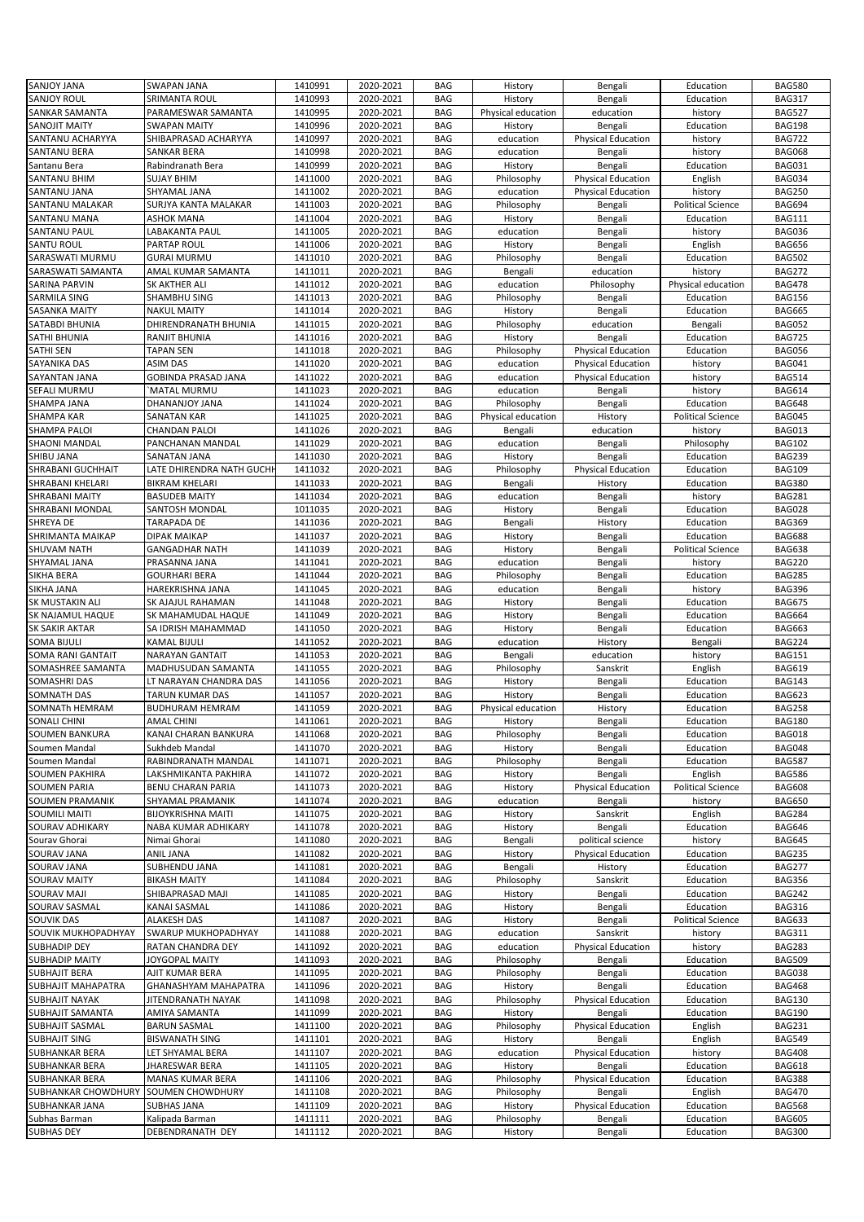|                                          | <b>SWAPAN JANA</b>        | 1410991 | 2020-2021              | <b>BAG</b> | History               | Bengali                   | Education                | <b>BAG580</b>                  |
|------------------------------------------|---------------------------|---------|------------------------|------------|-----------------------|---------------------------|--------------------------|--------------------------------|
| <b>SANJOY JANA</b><br><b>SANJOY ROUL</b> | SRIMANTA ROUL             | 1410993 | 2020-2021              | <b>BAG</b> | History               | Bengali                   | Education                | <b>BAG317</b>                  |
| <b>SANKAR SAMANTA</b>                    | PARAMESWAR SAMANTA        | 1410995 | 2020-2021              | <b>BAG</b> | Physical education    | education                 | history                  | <b>BAG527</b>                  |
| <b>SANOJIT MAITY</b>                     | <b>SWAPAN MAITY</b>       | 1410996 | 2020-2021              | <b>BAG</b> | History               | Bengali                   | Education                | <b>BAG198</b>                  |
| SANTANU ACHARYYA                         | SHIBAPRASAD ACHARYYA      | 1410997 | 2020-2021              | <b>BAG</b> | education             | <b>Physical Education</b> | history                  | <b>BAG722</b>                  |
| <b>SANTANU BERA</b>                      | SANKAR BERA               | 1410998 | 2020-2021              | <b>BAG</b> | education             | Bengali                   | history                  | <b>BAG068</b>                  |
| Santanu Bera                             | Rabindranath Bera         | 1410999 | 2020-2021              | <b>BAG</b> | History               | Bengali                   | Education                | <b>BAG031</b>                  |
| <b>SANTANU BHIM</b>                      | <b>SUJAY BHIM</b>         | 1411000 | 2020-2021              | <b>BAG</b> |                       | <b>Physical Education</b> |                          | <b>BAG034</b>                  |
|                                          |                           |         |                        |            | Philosophy            |                           | English                  |                                |
| SANTANU JANA                             | SHYAMAL JANA              | 1411002 | 2020-2021              | <b>BAG</b> | education             | <b>Physical Education</b> | history                  | <b>BAG250</b>                  |
| SANTANU MALAKAR                          | SURJYA KANTA MALAKAR      | 1411003 | 2020-2021              | <b>BAG</b> | Philosophy            | Bengali                   | <b>Political Science</b> | <b>BAG694</b>                  |
| SANTANU MANA                             | ASHOK MANA                | 1411004 | 2020-2021              | <b>BAG</b> | History               | Bengali                   | Education                | <b>BAG111</b>                  |
| SANTANU PAUL                             | LABAKANTA PAUL            | 1411005 | 2020-2021              | <b>BAG</b> | education             | Bengali                   | history                  | <b>BAG036</b>                  |
| SANTU ROUL                               | PARTAP ROUL               | 1411006 | 2020-2021              | <b>BAG</b> | History               | Bengali                   | English                  | <b>BAG656</b>                  |
| SARASWATI MURMU                          | <b>GURAI MURMU</b>        | 1411010 | 2020-2021              | <b>BAG</b> | Philosophy            | Bengali                   | Education                | <b>BAG502</b>                  |
| SARASWATI SAMANTA                        | AMAL KUMAR SAMANTA        | 1411011 | 2020-2021              | <b>BAG</b> | Bengali               | education                 | history                  | <b>BAG272</b>                  |
| <b>SARINA PARVIN</b>                     | SK AKTHER ALI             | 1411012 | 2020-2021              | BAG        | education             | Philosophy                | Physical education       | <b>BAG478</b>                  |
| SARMILA SING                             | SHAMBHU SING              | 1411013 | 2020-2021              | <b>BAG</b> | Philosophy            | Bengali                   | Education                | <b>BAG156</b>                  |
| <b>SASANKA MAITY</b>                     | <b>NAKUL MAITY</b>        | 1411014 | 2020-2021              | <b>BAG</b> | History               | Bengali                   | Education                | <b>BAG665</b>                  |
| SATABDI BHUNIA                           | DHIRENDRANATH BHUNIA      | 1411015 | 2020-2021              | <b>BAG</b> | Philosophy            | education                 | Bengali                  | <b>BAG052</b>                  |
| SATHI BHUNIA                             | RANJIT BHUNIA             | 1411016 | 2020-2021              | <b>BAG</b> | History               | Bengali                   | Education                | <b>BAG725</b>                  |
| <b>SATHI SEN</b>                         | <b>TAPAN SEN</b>          | 1411018 | 2020-2021              | <b>BAG</b> | Philosophy            | <b>Physical Education</b> | Education                | <b>BAG056</b>                  |
| SAYANIKA DAS                             | <b>ASIM DAS</b>           | 1411020 | 2020-2021              | <b>BAG</b> | education             | <b>Physical Education</b> | history                  | <b>BAG041</b>                  |
| SAYANTAN JANA                            | GOBINDA PRASAD JANA       | 1411022 | 2020-2021              | <b>BAG</b> | education             | <b>Physical Education</b> | history                  | <b>BAG514</b>                  |
| SEFALI MURMU                             | `MATAL MURMU              | 1411023 | 2020-2021              | <b>BAG</b> | education             | Bengali                   | history                  | <b>BAG614</b>                  |
| SHAMPA JANA                              | DHANANJOY JANA            | 1411024 | 2020-2021              | <b>BAG</b> | Philosophy            | Bengali                   | Education                | <b>BAG648</b>                  |
| <b>SHAMPA KAR</b>                        | <b>SANATAN KAR</b>        | 1411025 | 2020-2021              | <b>BAG</b> | Physical education    | History                   | <b>Political Science</b> | <b>BAG045</b>                  |
| <b>SHAMPA PALOI</b>                      | <b>CHANDAN PALOI</b>      | 1411026 | 2020-2021              | <b>BAG</b> | Bengali               | education                 | history                  | <b>BAG013</b>                  |
| <b>SHAONI MANDAL</b>                     | PANCHANAN MANDAL          | 1411029 | 2020-2021              | <b>BAG</b> | education             | Bengali                   | Philosophy               | <b>BAG102</b>                  |
| SHIBU JANA                               | SANATAN JANA              | 1411030 | 2020-2021              | <b>BAG</b> | History               | Bengali                   | Education                | <b>BAG239</b>                  |
| <b>SHRABANI GUCHHAIT</b>                 | LATE DHIRENDRA NATH GUCHH | 1411032 | 2020-2021              | <b>BAG</b> | Philosophy            | <b>Physical Education</b> | Education                | <b>BAG109</b>                  |
| SHRABANI KHELARI                         | <b>BIKRAM KHELARI</b>     | 1411033 | 2020-2021              | <b>BAG</b> | Bengali               | History                   | Education                | <b>BAG380</b>                  |
| <b>SHRABANI MAITY</b>                    | <b>BASUDEB MAITY</b>      | 1411034 | 2020-2021              | <b>BAG</b> | education             | Bengali                   | history                  | <b>BAG281</b>                  |
| SHRABANI MONDAL                          | SANTOSH MONDAL            | 1011035 | 2020-2021              | <b>BAG</b> | History               | Bengali                   | Education                | <b>BAG028</b>                  |
| SHREYA DE                                | TARAPADA DE               | 1411036 | 2020-2021              | <b>BAG</b> | Bengali               | History                   | Education                | <b>BAG369</b>                  |
| SHRIMANTA MAIKAP                         | DIPAK MAIKAP              | 1411037 | 2020-2021              | <b>BAG</b> | History               | Bengali                   | Education                | <b>BAG688</b>                  |
| SHUVAM NATH                              | <b>GANGADHAR NATH</b>     | 1411039 | 2020-2021              | <b>BAG</b> | History               | Bengali                   | <b>Political Science</b> | <b>BAG638</b>                  |
| SHYAMAL JANA                             | PRASANNA JANA             | 1411041 | 2020-2021              | <b>BAG</b> | education             | Bengali                   | history                  | <b>BAG220</b>                  |
| SIKHA BERA                               | <b>GOURHARI BERA</b>      | 1411044 | 2020-2021              | <b>BAG</b> | Philosophy            | Bengali                   | Education                | <b>BAG285</b>                  |
| SIKHA JANA                               | HAREKRISHNA JANA          | 1411045 | 2020-2021              | <b>BAG</b> | education             | Bengali                   | history                  | <b>BAG396</b>                  |
| SK MUSTAKIN ALI                          | SK AJAJUL RAHAMAN         | 1411048 | 2020-2021              | <b>BAG</b> | History               | Bengali                   | Education                | <b>BAG675</b>                  |
| SK NAJAMUL HAQUE                         | SK MAHAMUDAL HAQUE        | 1411049 | 2020-2021              | <b>BAG</b> | History               | Bengali                   | Education                | <b>BAG664</b>                  |
| <b>SK SAKIR AKTAR</b>                    | SA IDRISH MAHAMMAD        |         |                        |            |                       |                           |                          |                                |
|                                          |                           |         |                        |            |                       |                           |                          |                                |
|                                          |                           | 1411050 | 2020-2021              | <b>BAG</b> | History               | Bengali                   | Education                | <b>BAG663</b>                  |
| <b>SOMA BIJULI</b>                       | KAMAL BIJULI              | 1411052 | 2020-2021              | <b>BAG</b> | education             | History                   | Bengali                  | <b>BAG224</b>                  |
| <b>SOMA RANI GANTAIT</b>                 | NARAYAN GANTAIT           | 1411053 | 2020-2021              | <b>BAG</b> | Bengali               | education                 | history                  | <b>BAG151</b>                  |
| SOMASHREE SAMANTA                        | MADHUSUDAN SAMANTA        | 1411055 | 2020-2021              | BAG        | Philosophy            | Sanskrit                  | English                  | <b>BAG619</b>                  |
| SOMASHRI DAS                             | LT NARAYAN CHANDRA DAS    | 1411056 | 2020-2021              | <b>BAG</b> | History               | Bengali                   | Education                | <b>BAG143</b>                  |
| SOMNATH DAS                              | <b>TARUN KUMAR DAS</b>    | 1411057 | 2020-2021              | <b>BAG</b> | History               | Bengali                   | Education                | <b>BAG623</b>                  |
| SOMNATh HEMRAM                           | BUDHURAM HEMRAM           | 1411059 | 2020-2021              | <b>BAG</b> | Physical education    | History                   | Education                | <b>BAG258</b>                  |
| <b>SONALI CHINI</b>                      | <b>AMAL CHINI</b>         | 1411061 | 2020-2021              | <b>BAG</b> | History               | Bengali                   | Education                | <b>BAG180</b>                  |
| <b>SOUMEN BANKURA</b>                    | KANAI CHARAN BANKURA      | 1411068 | 2020-2021              | <b>BAG</b> | Philosophy            | Bengali                   | Education                | <b>BAG018</b>                  |
| Soumen Mandal                            | Sukhdeb Mandal            | 1411070 | 2020-2021              | BAG        | History               | Bengali                   | Education                | <b>BAG048</b>                  |
| Soumen Mandal                            | RABINDRANATH MANDAL       | 1411071 | 2020-2021              | <b>BAG</b> | Philosophy            | Bengali                   | Education                | <b>BAG587</b>                  |
| <b>SOUMEN PAKHIRA</b>                    | LAKSHMIKANTA PAKHIRA      | 1411072 | 2020-2021              | <b>BAG</b> | History               | Bengali                   | English                  | <b>BAG586</b>                  |
| <b>SOUMEN PARIA</b>                      | BENU CHARAN PARIA         | 1411073 | 2020-2021              | <b>BAG</b> | History               | <b>Physical Education</b> | <b>Political Science</b> | <b>BAG608</b>                  |
| <b>SOUMEN PRAMANIK</b>                   | SHYAMAL PRAMANIK          | 1411074 | 2020-2021              | BAG        | education             | Bengali                   | history                  | <b>BAG650</b>                  |
| SOUMILI MAITI                            | <b>BIJOYKRISHNA MAITI</b> | 1411075 | 2020-2021              | <b>BAG</b> | History               | Sanskrit                  | English                  | <b>BAG284</b>                  |
| <b>SOURAV ADHIKARY</b>                   | NABA KUMAR ADHIKARY       | 1411078 | 2020-2021              | BAG        | History               | Bengali                   | Education                | <b>BAG646</b>                  |
| Sourav Ghorai                            | Nimai Ghorai              | 1411080 | 2020-2021              | <b>BAG</b> | Bengali               | political science         | history                  | <b>BAG645</b>                  |
| SOURAV JANA                              | <b>ANIL JANA</b>          | 1411082 | 2020-2021              | BAG        | History               | <b>Physical Education</b> | Education                | <b>BAG235</b>                  |
| SOURAV JANA                              | SUBHENDU JANA             | 1411081 | 2020-2021              | BAG        | Bengali               | History                   | Education                | <b>BAG277</b>                  |
| <b>SOURAV MAITY</b>                      | <b>BIKASH MAITY</b>       | 1411084 | 2020-2021              | BAG        | Philosophy            | Sanskrit                  | Education                | <b>BAG356</b>                  |
| SOURAV MAJI                              | SHIBAPRASAD MAJI          | 1411085 | 2020-2021              | BAG        | History               | Bengali                   | Education                | <b>BAG242</b>                  |
| SOURAV SASMAL                            | KANAI SASMAL              | 1411086 | 2020-2021              | <b>BAG</b> | History               | Bengali                   | Education                | <b>BAG316</b>                  |
| SOUVIK DAS                               | <b>ALAKESH DAS</b>        | 1411087 | 2020-2021              | BAG        | History               | Bengali                   | <b>Political Science</b> | <b>BAG633</b>                  |
| SOUVIK MUKHOPADHYAY                      | SWARUP MUKHOPADHYAY       | 1411088 | 2020-2021              | <b>BAG</b> | education             | Sanskrit                  | history                  | <b>BAG311</b>                  |
| <b>SUBHADIP DEY</b>                      | RATAN CHANDRA DEY         | 1411092 | 2020-2021              | <b>BAG</b> | education             | <b>Physical Education</b> | history                  | <b>BAG283</b>                  |
| <b>SUBHADIP MAITY</b>                    | JOYGOPAL MAITY            | 1411093 | 2020-2021              | <b>BAG</b> | Philosophy            | Bengali                   | Education                | <b>BAG509</b>                  |
| <b>SUBHAJIT BERA</b>                     | AJIT KUMAR BERA           | 1411095 | 2020-2021              | <b>BAG</b> | Philosophy            | Bengali                   | Education                | <b>BAG038</b>                  |
| <b>SUBHAJIT MAHAPATRA</b>                | GHANASHYAM MAHAPATRA      | 1411096 | 2020-2021              | <b>BAG</b> | History               | Bengali                   | Education                | <b>BAG468</b>                  |
| <b>SUBHAJIT NAYAK</b>                    | JITENDRANATH NAYAK        | 1411098 | 2020-2021              | <b>BAG</b> | Philosophy            | <b>Physical Education</b> | Education                | <b>BAG130</b>                  |
| <b>SUBHAJIT SAMANTA</b>                  | AMIYA SAMANTA             | 1411099 | 2020-2021              | <b>BAG</b> | History               | Bengali                   | Education                | <b>BAG190</b>                  |
| <b>SUBHAJIT SASMAL</b>                   | <b>BARUN SASMAL</b>       | 1411100 | 2020-2021              | <b>BAG</b> | Philosophy            | <b>Physical Education</b> | English                  | <b>BAG231</b>                  |
| <b>SUBHAJIT SING</b>                     | <b>BISWANATH SING</b>     | 1411101 | 2020-2021              | <b>BAG</b> | History               | Bengali                   | English                  | <b>BAG549</b>                  |
| SUBHANKAR BERA                           | LET SHYAMAL BERA          | 1411107 | 2020-2021              | <b>BAG</b> | education             | <b>Physical Education</b> | history                  | <b>BAG408</b>                  |
| SUBHANKAR BERA                           | JHARESWAR BERA            | 1411105 | 2020-2021              | <b>BAG</b> | History               | Bengali                   | Education                | <b>BAG618</b>                  |
| SUBHANKAR BERA                           | MANAS KUMAR BERA          | 1411106 | 2020-2021              | BAG        | Philosophy            | <b>Physical Education</b> | Education                | <b>BAG388</b>                  |
| SUBHANKAR CHOWDHURY                      | SOUMEN CHOWDHURY          | 1411108 | 2020-2021              | <b>BAG</b> | Philosophy            | Bengali                   | English                  | <b>BAG470</b>                  |
| SUBHANKAR JANA                           | SUBHAS JANA               | 1411109 | 2020-2021              | <b>BAG</b> | History               | <b>Physical Education</b> | Education                | <b>BAG568</b>                  |
| Subhas Barman                            | Kalipada Barman           | 1411111 |                        | <b>BAG</b> |                       |                           |                          |                                |
| <b>SUBHAS DEY</b>                        | DEBENDRANATH DEY          | 1411112 | 2020-2021<br>2020-2021 | BAG        | Philosophy<br>History | Bengali<br>Bengali        | Education<br>Education   | <b>BAG605</b><br><b>BAG300</b> |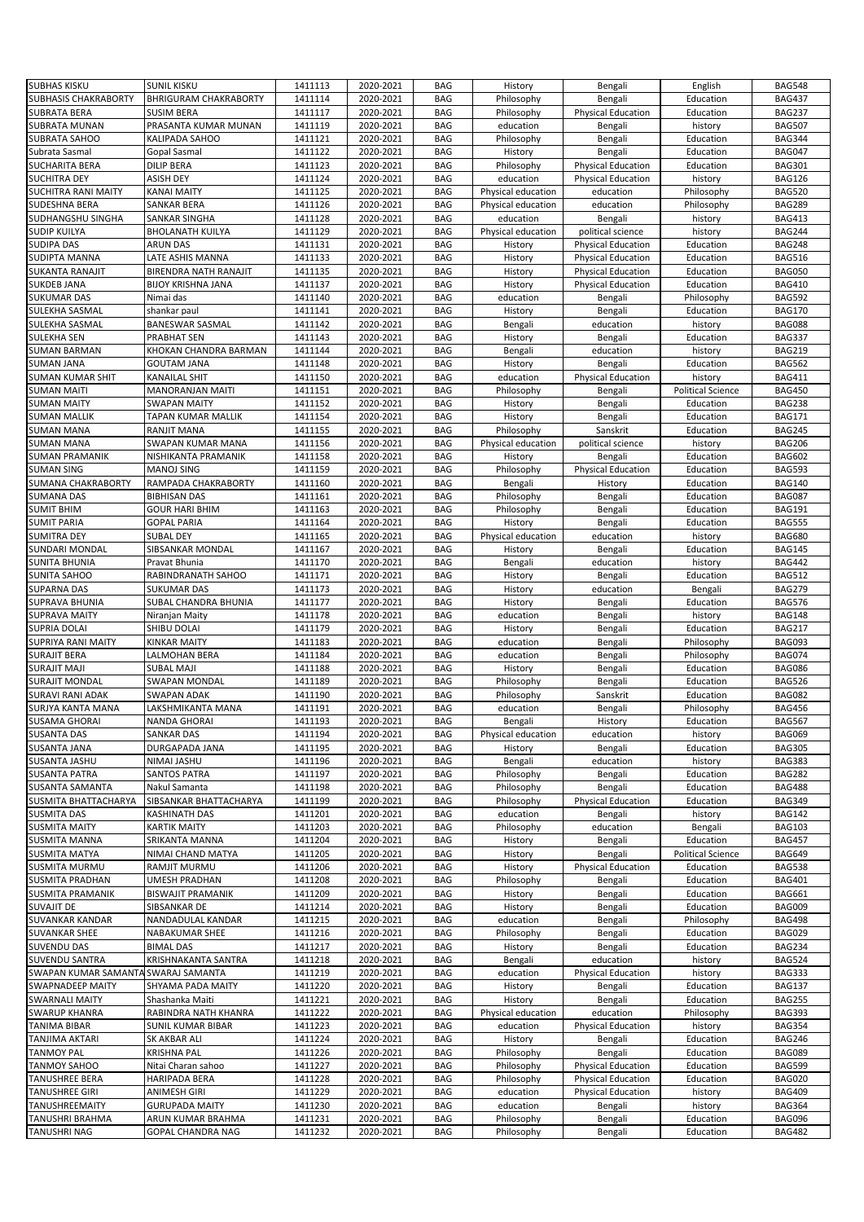| <b>SUBHAS KISKU</b>                           | <b>SUNIL KISKU</b>                            | 1411113            | 2020-2021              | <b>BAG</b>               | History                  | Bengali                   | English                  | <b>BAG548</b>           |
|-----------------------------------------------|-----------------------------------------------|--------------------|------------------------|--------------------------|--------------------------|---------------------------|--------------------------|-------------------------|
|                                               |                                               |                    | 2020-2021              |                          |                          |                           |                          |                         |
| SUBHASIS CHAKRABORTY                          | <b>BHRIGURAM CHAKRABORTY</b>                  | 1411114            |                        | <b>BAG</b>               | Philosophy               | Bengali                   | Education                | <b>BAG437</b>           |
| <b>SUBRATA BERA</b>                           | <b>SUSIM BERA</b>                             | 1411117            | 2020-2021              | <b>BAG</b>               | Philosophy               | <b>Physical Education</b> | Education                | <b>BAG237</b>           |
| SUBRATA MUNAN                                 | PRASANTA KUMAR MUNAN                          | 1411119            | 2020-2021              | <b>BAG</b>               | education                | Bengali                   | history                  | <b>BAG507</b>           |
| <b>SUBRATA SAHOO</b>                          | KALIPADA SAHOO                                | 1411121            | 2020-2021              | <b>BAG</b>               | Philosophy               | Bengali                   | Education                | <b>BAG344</b>           |
| Subrata Sasmal                                | Gopal Sasmal                                  | 1411122            | 2020-2021              | <b>BAG</b>               | History                  | Bengali                   | Education                | <b>BAG047</b>           |
| <b>SUCHARITA BERA</b>                         | <b>DILIP BERA</b>                             | 1411123            | 2020-2021              | <b>BAG</b>               | Philosophy               | <b>Physical Education</b> | Education                | <b>BAG301</b>           |
| <b>SUCHITRA DEY</b>                           | <b>ASISH DEY</b>                              | 1411124            |                        | <b>BAG</b>               |                          |                           | history                  | <b>BAG126</b>           |
|                                               |                                               |                    | 2020-2021              |                          | education                | <b>Physical Education</b> |                          |                         |
| <b>SUCHITRA RANI MAITY</b>                    | <b>KANAI MAITY</b>                            | 1411125            | 2020-2021              | <b>BAG</b>               | Physical education       | education                 | Philosophy               | <b>BAG520</b>           |
| SUDESHNA BERA                                 | SANKAR BERA                                   | 1411126            | 2020-2021              | <b>BAG</b>               | Physical education       | education                 | Philosophy               | <b>BAG289</b>           |
| SUDHANGSHU SINGHA                             | SANKAR SINGHA                                 | 1411128            | 2020-2021              | <b>BAG</b>               | education                | Bengali                   | history                  | <b>BAG413</b>           |
| <b>SUDIP KUILYA</b>                           | <b>BHOLANATH KUILYA</b>                       | 1411129            | 2020-2021              | <b>BAG</b>               | Physical education       | political science         | history                  | <b>BAG244</b>           |
| <b>SUDIPA DAS</b>                             | <b>ARUN DAS</b>                               |                    |                        |                          |                          |                           |                          | <b>BAG248</b>           |
|                                               |                                               | 1411131            | 2020-2021              | <b>BAG</b>               | History                  | <b>Physical Education</b> | Education                |                         |
| SUDIPTA MANNA                                 | LATE ASHIS MANNA                              | 1411133            | 2020-2021              | <b>BAG</b>               | History                  | <b>Physical Education</b> | Education                | <b>BAG516</b>           |
| SUKANTA RANAJIT                               | BIRENDRA NATH RANAJIT                         | 1411135            | 2020-2021              | <b>BAG</b>               | History                  | <b>Physical Education</b> | Education                | <b>BAG050</b>           |
| <b>SUKDEB JANA</b>                            | <b>BIJOY KRISHNA JANA</b>                     | 1411137            | 2020-2021              | <b>BAG</b>               | History                  | <b>Physical Education</b> | Education                | <b>BAG410</b>           |
| <b>SUKUMAR DAS</b>                            | Nimai das                                     | 1411140            | 2020-2021              | <b>BAG</b>               | education                | Bengali                   | Philosophy               | <b>BAG592</b>           |
|                                               |                                               |                    |                        |                          |                          |                           |                          |                         |
| SULEKHA SASMAL                                | shankar paul                                  | 1411141            | 2020-2021              | <b>BAG</b>               | History                  | Bengali                   | Education                | <b>BAG170</b>           |
| SULEKHA SASMAL                                | <b>BANESWAR SASMAL</b>                        | 1411142            | 2020-2021              | <b>BAG</b>               | Bengali                  | education                 | history                  | <b>BAG088</b>           |
| <b>SULEKHA SEN</b>                            | PRABHAT SEN                                   | 1411143            | 2020-2021              | <b>BAG</b>               | History                  | Bengali                   | Education                | <b>BAG337</b>           |
| <b>SUMAN BARMAN</b>                           | KHOKAN CHANDRA BARMAN                         | 1411144            | 2020-2021              | <b>BAG</b>               | Bengali                  | education                 | history                  | <b>BAG219</b>           |
| <b>SUMAN JANA</b>                             | <b>GOUTAM JANA</b>                            | 1411148            | 2020-2021              | <b>BAG</b>               | History                  | Bengali                   | Education                | <b>BAG562</b>           |
|                                               |                                               |                    |                        |                          |                          |                           |                          |                         |
| <b>SUMAN KUMAR SHIT</b>                       | <b>KANAILAL SHIT</b>                          | 1411150            | 2020-2021              | <b>BAG</b>               | education                | <b>Physical Education</b> | history                  | <b>BAG411</b>           |
| <b>SUMAN MAITI</b>                            | <b>MANORANJAN MAITI</b>                       | 1411151            | 2020-2021              | <b>BAG</b>               | Philosophy               | Bengali                   | <b>Political Science</b> | <b>BAG450</b>           |
| <b>SUMAN MAITY</b>                            | <b>SWAPAN MAITY</b>                           | 1411152            | 2020-2021              | <b>BAG</b>               | History                  | Bengali                   | Education                | <b>BAG238</b>           |
| <b>SUMAN MALLIK</b>                           | TAPAN KUMAR MALLIK                            | 1411154            | 2020-2021              | <b>BAG</b>               | History                  | Bengali                   | Education                | <b>BAG171</b>           |
| <b>SUMAN MANA</b>                             | <b>RANJIT MANA</b>                            | 1411155            | 2020-2021              | <b>BAG</b>               | Philosophy               | Sanskrit                  | Education                | <b>BAG245</b>           |
|                                               |                                               |                    |                        |                          |                          |                           |                          |                         |
| <b>SUMAN MANA</b>                             | SWAPAN KUMAR MANA                             | 1411156            | 2020-2021              | <b>BAG</b>               | Physical education       | political science         | history                  | <b>BAG206</b>           |
| <b>SUMAN PRAMANIK</b>                         | NISHIKANTA PRAMANIK                           | 1411158            | 2020-2021              | <b>BAG</b>               | History                  | Bengali                   | Education                | <b>BAG602</b>           |
| <b>SUMAN SING</b>                             | <b>MANOJ SING</b>                             | 1411159            | 2020-2021              | <b>BAG</b>               | Philosophy               | <b>Physical Education</b> | Education                | <b>BAG593</b>           |
| SUMANA CHAKRABORTY                            | RAMPADA CHAKRABORTY                           | 1411160            | 2020-2021              | <b>BAG</b>               | Bengali                  | History                   | Education                | <b>BAG140</b>           |
| <b>SUMANA DAS</b>                             |                                               |                    |                        |                          |                          |                           |                          |                         |
|                                               | <b>BIBHISAN DAS</b>                           | 1411161            | 2020-2021              | <b>BAG</b>               | Philosophy               | Bengali                   | Education                | <b>BAG087</b>           |
| <b>SUMIT BHIM</b>                             | <b>GOUR HARI BHIM</b>                         | 1411163            | 2020-2021              | <b>BAG</b>               | Philosophy               | Bengali                   | Education                | <b>BAG191</b>           |
| <b>SUMIT PARIA</b>                            | <b>GOPAL PARIA</b>                            | 1411164            | 2020-2021              | <b>BAG</b>               | History                  | Bengali                   | Education                | <b>BAG555</b>           |
| <b>SUMITRA DEY</b>                            | <b>SUBAL DEY</b>                              | 1411165            | 2020-2021              | <b>BAG</b>               | Physical education       | education                 | history                  | <b>BAG680</b>           |
| SUNDARI MONDAL                                | SIBSANKAR MONDAL                              | 1411167            | 2020-2021              | <b>BAG</b>               | History                  | Bengali                   | Education                | <b>BAG145</b>           |
|                                               |                                               |                    |                        |                          |                          |                           |                          |                         |
| SUNITA BHUNIA                                 | Pravat Bhunia                                 | 1411170            | 2020-2021              | <b>BAG</b>               | Bengali                  | education                 | history                  | <b>BAG442</b>           |
| SUNITA SAHOO                                  | RABINDRANATH SAHOO                            | 1411171            | 2020-2021              | <b>BAG</b>               | History                  | Bengali                   | Education                | <b>BAG512</b>           |
| <b>SUPARNA DAS</b>                            | <b>SUKUMAR DAS</b>                            | 1411173            | 2020-2021              | <b>BAG</b>               | History                  | education                 | Bengali                  | <b>BAG279</b>           |
| SUPRAVA BHUNIA                                | SUBAL CHANDRA BHUNIA                          | 1411177            | 2020-2021              | <b>BAG</b>               | History                  | Bengali                   | Education                | <b>BAG576</b>           |
|                                               |                                               |                    |                        |                          |                          |                           |                          |                         |
|                                               |                                               |                    |                        |                          |                          |                           |                          |                         |
| <b>SUPRAVA MAITY</b>                          | Niranjan Maity                                | 1411178            | 2020-2021              | <b>BAG</b>               | education                | Bengali                   | history                  | <b>BAG148</b>           |
| <b>SUPRIA DOLAI</b>                           | SHIBU DOLAI                                   | 1411179            | 2020-2021              | <b>BAG</b>               | History                  | Bengali                   | Education                | <b>BAG217</b>           |
| SUPRIYA RANI MAITY                            | KINKAR MAITY                                  | 1411183            | 2020-2021              | <b>BAG</b>               | education                | Bengali                   | Philosophy               | <b>BAG093</b>           |
| <b>SURAJIT BERA</b>                           | LALMOHAN BERA                                 | 1411184            | 2020-2021              | <b>BAG</b>               | education                | Bengali                   | Philosophy               | <b>BAG074</b>           |
|                                               |                                               |                    |                        |                          |                          |                           |                          |                         |
| <b>SURAJIT MAJI</b>                           | <b>SUBAL MAJI</b>                             | 1411188            | 2020-2021              | <b>BAG</b>               | History                  | Bengali                   | Education                | <b>BAG086</b>           |
| <b>SURAJIT MONDAL</b>                         | <b>SWAPAN MONDAL</b>                          | 1411189            | 2020-2021              | <b>BAG</b>               | Philosophy               | Bengali                   | Education                | <b>BAG526</b>           |
| SURAVI RANI ADAK                              | <b>SWAPAN ADAK</b>                            | 1411190            | 2020-2021              | <b>BAG</b>               | Philosophy               | Sanskrit                  | Education                | <b>BAG082</b>           |
| SURJYA KANTA MANA                             | LAKSHMIKANTA MANA                             | 1411191            | 2020-2021              | <b>BAG</b>               | education                | Bengali                   | Philosophy               | <b>BAG456</b>           |
| <b>SUSAMA GHORAI</b>                          | <b>NANDA GHORAI</b>                           | 1411193            | 2020-2021              | <b>BAG</b>               | Bengali                  | History                   | Education                | <b>BAG567</b>           |
|                                               |                                               |                    |                        |                          |                          |                           |                          |                         |
| <b>SUSANTA DAS</b>                            | <b>SANKAR DAS</b>                             | 1411194            | 2020-2021              | <b>BAG</b>               | Physical education       | education                 | history                  | <b>BAG069</b>           |
| <b>SUSANTA JANA</b>                           | DURGAPADA JANA                                | 1411195            | 2020-2021              | <b>BAG</b>               | History                  | Bengali                   | Education                | <b>BAG305</b>           |
| SUSANTA JASHU                                 | NIMAI JASHU                                   | 1411196            | 2020-2021              | <b>BAG</b>               | Bengali                  | education                 | history                  | <b>BAG383</b>           |
| <b>SUSANTA PATRA</b>                          | <b>SANTOS PATRA</b>                           | 1411197            | 2020-2021              | <b>BAG</b>               | Philosophy               | Bengali                   | Education                | <b>BAG282</b>           |
| SUSANTA SAMANTA                               | Nakul Samanta                                 | 1411198            | 2020-2021              | <b>BAG</b>               | Philosophy               | Bengali                   | Education                | <b>BAG488</b>           |
|                                               |                                               |                    |                        |                          |                          |                           |                          |                         |
| SUSMITA BHATTACHARYA                          | SIBSANKAR BHATTACHARYA                        | 1411199            | 2020-2021              | <b>BAG</b>               | Philosophy               | <b>Physical Education</b> | Education                | <b>BAG349</b>           |
| <b>SUSMITA DAS</b>                            | KASHINATH DAS                                 | 1411201            | 2020-2021              | <b>BAG</b>               | education                | Bengali                   | history                  | <b>BAG142</b>           |
| <b>SUSMITA MAITY</b>                          | <b>KARTIK MAITY</b>                           | 1411203            | 2020-2021              | <b>BAG</b>               | Philosophy               | education                 | Bengali                  | <b>BAG103</b>           |
| SUSMITA MANNA                                 | SRIKANTA MANNA                                | 1411204            | 2020-2021              | <b>BAG</b>               | History                  | Bengali                   | Education                | <b>BAG457</b>           |
| <b>SUSMITA MATYA</b>                          | NIMAI CHAND MATYA                             | 1411205            | 2020-2021              | <b>BAG</b>               | History                  | Bengali                   | <b>Political Science</b> | <b>BAG649</b>           |
|                                               |                                               |                    |                        |                          |                          |                           |                          |                         |
| SUSMITA MURMU                                 | RAMJIT MURMU                                  | 1411206            | 2020-2021              | <b>BAG</b>               | History                  | <b>Physical Education</b> | Education                | <b>BAG538</b>           |
| <b>SUSMITA PRADHAN</b>                        | <b>UMESH PRADHAN</b>                          | 1411208            | 2020-2021              | <b>BAG</b>               | Philosophy               | Bengali                   | Education                | <b>BAG401</b>           |
| SUSMITA PRAMANIK                              | <b>BISWAJIT PRAMANIK</b>                      | 1411209            | 2020-2021              | <b>BAG</b>               | History                  | Bengali                   | Education                | <b>BAG661</b>           |
| <b>SUVAJIT DE</b>                             | SIBSANKAR DE                                  | 1411214            | 2020-2021              | <b>BAG</b>               | History                  | Bengali                   | Education                | <b>BAG009</b>           |
| SUVANKAR KANDAR                               | NANDADULAL KANDAR                             | 1411215            | 2020-2021              | <b>BAG</b>               | education                |                           |                          | <b>BAG498</b>           |
|                                               |                                               |                    |                        |                          |                          | Bengali                   | Philosophy               |                         |
| <b>SUVANKAR SHEE</b>                          | NABAKUMAR SHEE                                | 1411216            | 2020-2021              | <b>BAG</b>               | Philosophy               | Bengali                   | Education                | <b>BAG029</b>           |
| SUVENDU DAS                                   | <b>BIMAL DAS</b>                              | 1411217            | 2020-2021              | BAG                      | History                  | Bengali                   | Education                | <b>BAG234</b>           |
| SUVENDU SANTRA                                | KRISHNAKANTA SANTRA                           | 1411218            | 2020-2021              | <b>BAG</b>               | Bengali                  | education                 | history                  | <b>BAG524</b>           |
| SWAPAN KUMAR SAMANTA SWARAJ SAMANTA           |                                               | 1411219            | 2020-2021              | <b>BAG</b>               | education                | <b>Physical Education</b> | history                  | BAG333                  |
|                                               |                                               |                    |                        | <b>BAG</b>               |                          |                           |                          | <b>BAG137</b>           |
| <b>SWAPNADEEP MAITY</b>                       | SHYAMA PADA MAITY                             | 1411220            | 2020-2021              |                          | History                  | Bengali                   | Education                |                         |
| <b>SWARNALI MAITY</b>                         | Shashanka Maiti                               | 1411221            | 2020-2021              | <b>BAG</b>               | History                  | Bengali                   | Education                | <b>BAG255</b>           |
| <b>SWARUP KHANRA</b>                          | RABINDRA NATH KHANRA                          | 1411222            | 2020-2021              | <b>BAG</b>               | Physical education       | education                 | Philosophy               | BAG393                  |
| <b>TANIMA BIBAR</b>                           | SUNIL KUMAR BIBAR                             | 1411223            | 2020-2021              | BAG                      | education                | <b>Physical Education</b> | history                  | <b>BAG354</b>           |
| <b>TANJIMA AKTARI</b>                         | SK AKBAR ALI                                  | 1411224            | 2020-2021              | <b>BAG</b>               | History                  | Bengali                   | Education                | <b>BAG246</b>           |
|                                               |                                               |                    |                        |                          |                          |                           |                          |                         |
| <b>TANMOY PAL</b>                             | <b>KRISHNA PAL</b>                            | 1411226            | 2020-2021              | <b>BAG</b>               | Philosophy               | Bengali                   | Education                | <b>BAG089</b>           |
| <b>TANMOY SAHOO</b>                           | Nitai Charan sahoo                            | 1411227            | 2020-2021              | <b>BAG</b>               | Philosophy               | <b>Physical Education</b> | Education                | <b>BAG599</b>           |
| <b>TANUSHREE BERA</b>                         | HARIPADA BERA                                 | 1411228            | 2020-2021              | <b>BAG</b>               | Philosophy               | <b>Physical Education</b> | Education                | <b>BAG020</b>           |
| <b>TANUSHREE GIRI</b>                         | <b>ANIMESH GIRI</b>                           | 1411229            | 2020-2021              | <b>BAG</b>               | education                | <b>Physical Education</b> | history                  | <b>BAG409</b>           |
|                                               |                                               |                    |                        |                          |                          |                           |                          |                         |
| TANUSHREEMAITY                                | <b>GURUPADA MAITY</b>                         | 1411230            | 2020-2021              | <b>BAG</b>               | education                | Bengali                   | history                  | <b>BAG364</b>           |
| <b>TANUSHRI BRAHMA</b><br><b>TANUSHRI NAG</b> | ARUN KUMAR BRAHMA<br><b>GOPAL CHANDRA NAG</b> | 1411231<br>1411232 | 2020-2021<br>2020-2021 | <b>BAG</b><br><b>BAG</b> | Philosophy<br>Philosophy | Bengali<br>Bengali        | Education<br>Education   | BAG096<br><b>BAG482</b> |